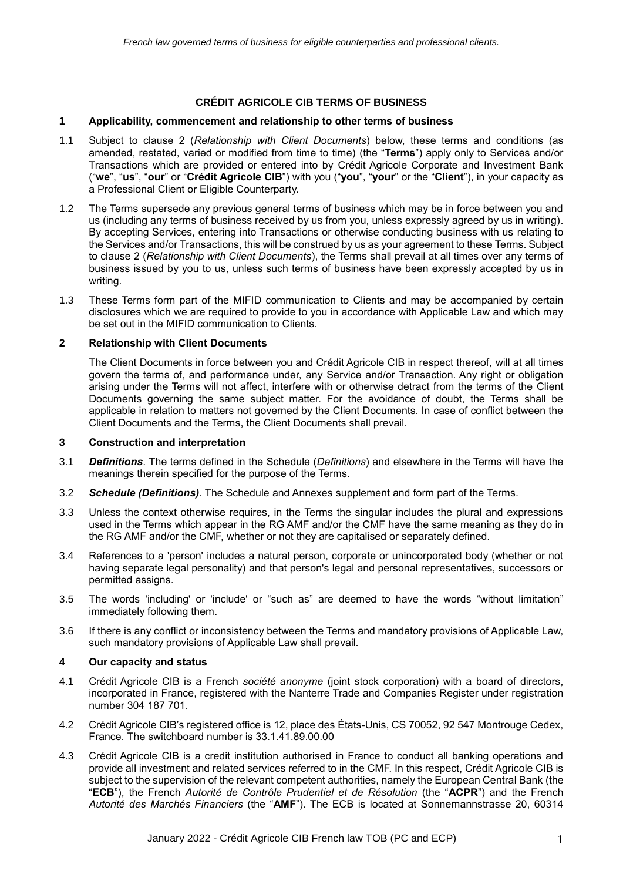## **CRÉDIT AGRICOLE CIB TERMS OF BUSINESS**

### **1 Applicability, commencement and relationship to other terms of business**

- 1.1 Subject to clause 2 (*Relationship with Client Documents*) below, these terms and conditions (as amended, restated, varied or modified from time to time) (the "**Terms**") apply only to Services and/or Transactions which are provided or entered into by Crédit Agricole Corporate and Investment Bank ("**we**", "**us**", "**our**" or "**Crédit Agricole CIB**") with you ("**you**", "**your**" or the "**Client**"), in your capacity as a Professional Client or Eligible Counterparty.
- 1.2 The Terms supersede any previous general terms of business which may be in force between you and us (including any terms of business received by us from you, unless expressly agreed by us in writing). By accepting Services, entering into Transactions or otherwise conducting business with us relating to the Services and/or Transactions, this will be construed by us as your agreement to these Terms. Subject to clause 2 (*Relationship with Client Documents*), the Terms shall prevail at all times over any terms of business issued by you to us, unless such terms of business have been expressly accepted by us in writing.
- 1.3 These Terms form part of the MIFID communication to Clients and may be accompanied by certain disclosures which we are required to provide to you in accordance with Applicable Law and which may be set out in the MIFID communication to Clients.

### **2 Relationship with Client Documents**

The Client Documents in force between you and Crédit Agricole CIB in respect thereof, will at all times govern the terms of, and performance under, any Service and/or Transaction. Any right or obligation arising under the Terms will not affect, interfere with or otherwise detract from the terms of the Client Documents governing the same subject matter. For the avoidance of doubt, the Terms shall be applicable in relation to matters not governed by the Client Documents. In case of conflict between the Client Documents and the Terms, the Client Documents shall prevail.

### **3 Construction and interpretation**

- 3.1 *Definitions*. The terms defined in the Schedule (*Definitions*) and elsewhere in the Terms will have the meanings therein specified for the purpose of the Terms.
- 3.2 *Schedule (Definitions)*. The Schedule and Annexes supplement and form part of the Terms.
- 3.3 Unless the context otherwise requires, in the Terms the singular includes the plural and expressions used in the Terms which appear in the RG AMF and/or the CMF have the same meaning as they do in the RG AMF and/or the CMF, whether or not they are capitalised or separately defined.
- 3.4 References to a 'person' includes a natural person, corporate or unincorporated body (whether or not having separate legal personality) and that person's legal and personal representatives, successors or permitted assigns.
- 3.5 The words 'including' or 'include' or "such as" are deemed to have the words "without limitation" immediately following them.
- 3.6 If there is any conflict or inconsistency between the Terms and mandatory provisions of Applicable Law, such mandatory provisions of Applicable Law shall prevail.

#### **4 Our capacity and status**

- 4.1 Crédit Agricole CIB is a French *société anonyme* (joint stock corporation) with a board of directors, incorporated in France, registered with the Nanterre Trade and Companies Register under registration number 304 187 701.
- 4.2 Crédit Agricole CIB's registered office is 12, place des États-Unis, CS 70052, 92 547 Montrouge Cedex, France. The switchboard number is 33.1.41.89.00.00
- 4.3 Crédit Agricole CIB is a credit institution authorised in France to conduct all banking operations and provide all investment and related services referred to in the CMF. In this respect, Crédit Agricole CIB is subject to the supervision of the relevant competent authorities, namely the European Central Bank (the "**ECB**"), the French *Autorité de Contrôle Prudentiel et de Résolution* (the "**ACPR**") and the French *Autorité des Marchés Financiers* (the "**AMF**"). The ECB is located at Sonnemannstrasse 20, 60314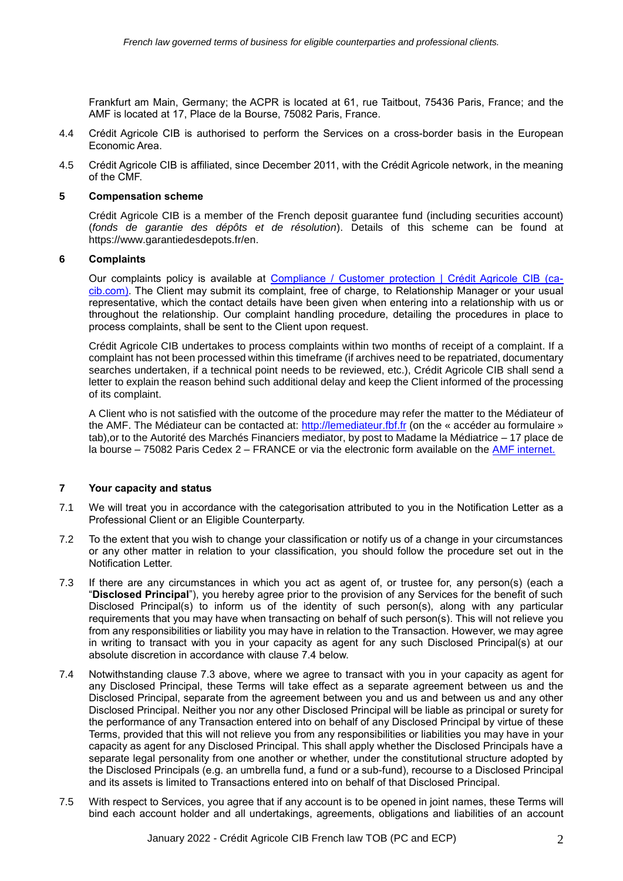Frankfurt am Main, Germany; the ACPR is located at 61, rue Taitbout, 75436 Paris, France; and the AMF is located at 17, Place de la Bourse, 75082 Paris, France.

- 4.4 Crédit Agricole CIB is authorised to perform the Services on a cross-border basis in the European Economic Area.
- 4.5 Crédit Agricole CIB is affiliated, since December 2011, with the Crédit Agricole network, in the meaning of the CMF.

#### **5 Compensation scheme**

Crédit Agricole CIB is a member of the French deposit guarantee fund (including securities account) (*fonds de garantie des dépôts et de résolution*). Details of this scheme can be found at https://www.garantiedesdepots.fr/en.

#### **6 Complaints**

Our complaints policy is available at [Compliance / Customer protection | Crédit Agricole CIB \(ca](https://www.ca-cib.com/about-us/compliance/compliance-customer-protection)[cib.com\).](https://www.ca-cib.com/about-us/compliance/compliance-customer-protection) The Client may submit its complaint, free of charge, to Relationship Manager or your usual representative, which the contact details have been given when entering into a relationship with us or throughout the relationship. Our complaint handling procedure, detailing the procedures in place to process complaints, shall be sent to the Client upon request.

Crédit Agricole CIB undertakes to process complaints within two months of receipt of a complaint. If a complaint has not been processed within this timeframe (if archives need to be repatriated, documentary searches undertaken, if a technical point needs to be reviewed, etc.), Crédit Agricole CIB shall send a letter to explain the reason behind such additional delay and keep the Client informed of the processing of its complaint.

A Client who is not satisfied with the outcome of the procedure may refer the matter to the Médiateur of the AMF. The Médiateur can be contacted at: [http://lemediateur.fbf.fr](https://lemediateur.fbf.fr/) (on the « accéder au formulaire » tab),or to the Autorité des Marchés Financiers mediator, by post to Madame la Médiatrice – 17 place de la bourse – 75082 Paris Cedex 2 – FRANCE or via the electronic form available on the [AMF internet.](http://www.amf-france.org/en_US/Le-mediateur-de-l-AMF/Presentation?langSwitch=true)

### **7 Your capacity and status**

- 7.1 We will treat you in accordance with the categorisation attributed to you in the Notification Letter as a Professional Client or an Eligible Counterparty.
- 7.2 To the extent that you wish to change your classification or notify us of a change in your circumstances or any other matter in relation to your classification, you should follow the procedure set out in the Notification Letter.
- 7.3 If there are any circumstances in which you act as agent of, or trustee for, any person(s) (each a "**Disclosed Principal**"), you hereby agree prior to the provision of any Services for the benefit of such Disclosed Principal(s) to inform us of the identity of such person(s), along with any particular requirements that you may have when transacting on behalf of such person(s). This will not relieve you from any responsibilities or liability you may have in relation to the Transaction. However, we may agree in writing to transact with you in your capacity as agent for any such Disclosed Principal(s) at our absolute discretion in accordance with clause 7.4 below.
- 7.4 Notwithstanding clause 7.3 above, where we agree to transact with you in your capacity as agent for any Disclosed Principal, these Terms will take effect as a separate agreement between us and the Disclosed Principal, separate from the agreement between you and us and between us and any other Disclosed Principal. Neither you nor any other Disclosed Principal will be liable as principal or surety for the performance of any Transaction entered into on behalf of any Disclosed Principal by virtue of these Terms, provided that this will not relieve you from any responsibilities or liabilities you may have in your capacity as agent for any Disclosed Principal. This shall apply whether the Disclosed Principals have a separate legal personality from one another or whether, under the constitutional structure adopted by the Disclosed Principals (e.g. an umbrella fund, a fund or a sub-fund), recourse to a Disclosed Principal and its assets is limited to Transactions entered into on behalf of that Disclosed Principal.
- 7.5 With respect to Services, you agree that if any account is to be opened in joint names, these Terms will bind each account holder and all undertakings, agreements, obligations and liabilities of an account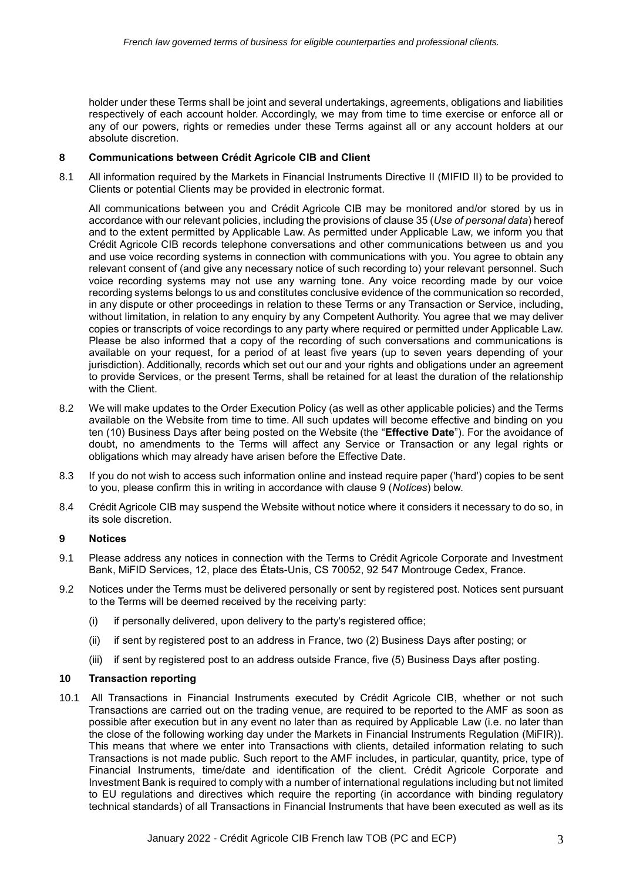holder under these Terms shall be joint and several undertakings, agreements, obligations and liabilities respectively of each account holder. Accordingly, we may from time to time exercise or enforce all or any of our powers, rights or remedies under these Terms against all or any account holders at our absolute discretion.

## **8 Communications between Crédit Agricole CIB and Client**

8.1 All information required by the Markets in Financial Instruments Directive II (MIFID II) to be provided to Clients or potential Clients may be provided in electronic format.

All communications between you and Crédit Agricole CIB may be monitored and/or stored by us in accordance with our relevant policies, including the provisions of clause 35 (*Use of personal data*) hereof and to the extent permitted by Applicable Law. As permitted under Applicable Law, we inform you that Crédit Agricole CIB records telephone conversations and other communications between us and you and use voice recording systems in connection with communications with you. You agree to obtain any relevant consent of (and give any necessary notice of such recording to) your relevant personnel. Such voice recording systems may not use any warning tone. Any voice recording made by our voice recording systems belongs to us and constitutes conclusive evidence of the communication so recorded, in any dispute or other proceedings in relation to these Terms or any Transaction or Service, including, without limitation, in relation to any enquiry by any Competent Authority. You agree that we may deliver copies or transcripts of voice recordings to any party where required or permitted under Applicable Law. Please be also informed that a copy of the recording of such conversations and communications is available on your request, for a period of at least five years (up to seven years depending of your jurisdiction). Additionally, records which set out our and your rights and obligations under an agreement to provide Services, or the present Terms, shall be retained for at least the duration of the relationship with the Client.

- 8.2 We will make updates to the Order Execution Policy (as well as other applicable policies) and the Terms available on the Website from time to time. All such updates will become effective and binding on you ten (10) Business Days after being posted on the Website (the "**Effective Date**"). For the avoidance of doubt, no amendments to the Terms will affect any Service or Transaction or any legal rights or obligations which may already have arisen before the Effective Date.
- 8.3 If you do not wish to access such information online and instead require paper ('hard') copies to be sent to you, please confirm this in writing in accordance with clause 9 (*Notices*) below.
- 8.4 Crédit Agricole CIB may suspend the Website without notice where it considers it necessary to do so, in its sole discretion.

#### **9 Notices**

- 9.1 Please address any notices in connection with the Terms to Crédit Agricole Corporate and Investment Bank, MiFID Services, 12, place des États-Unis, CS 70052, 92 547 Montrouge Cedex, France.
- 9.2 Notices under the Terms must be delivered personally or sent by registered post. Notices sent pursuant to the Terms will be deemed received by the receiving party:
	- (i) if personally delivered, upon delivery to the party's registered office;
	- (ii) if sent by registered post to an address in France, two (2) Business Days after posting; or
	- (iii) if sent by registered post to an address outside France, five (5) Business Days after posting.

#### **10 Transaction reporting**

10.1 All Transactions in Financial Instruments executed by Crédit Agricole CIB, whether or not such Transactions are carried out on the trading venue, are required to be reported to the AMF as soon as possible after execution but in any event no later than as required by Applicable Law (i.e. no later than the close of the following working day under the Markets in Financial Instruments Regulation (MiFIR)). This means that where we enter into Transactions with clients, detailed information relating to such Transactions is not made public. Such report to the AMF includes, in particular, quantity, price, type of Financial Instruments, time/date and identification of the client. Crédit Agricole Corporate and Investment Bank is required to comply with a number of international regulations including but not limited to EU regulations and directives which require the reporting (in accordance with binding regulatory technical standards) of all Transactions in Financial Instruments that have been executed as well as its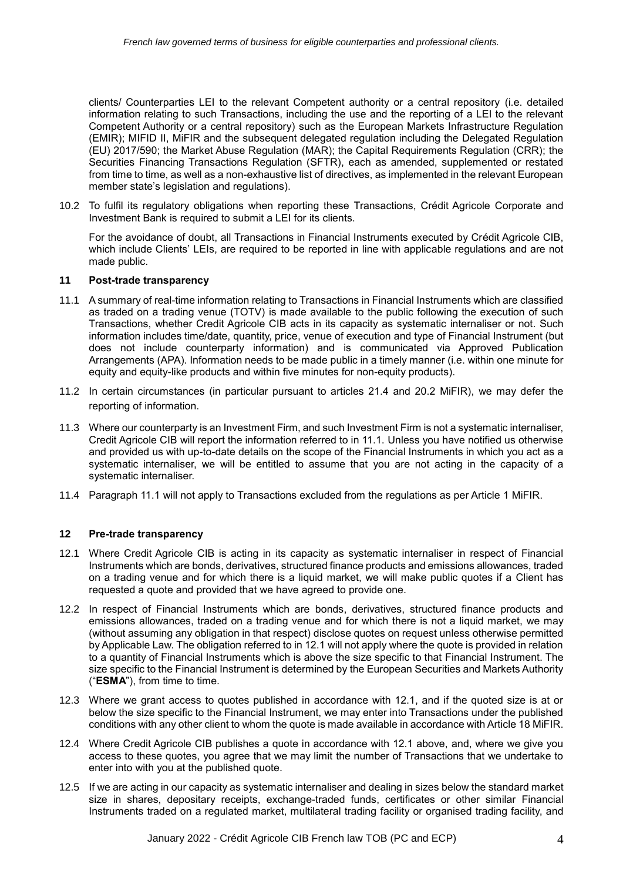clients/ Counterparties LEI to the relevant Competent authority or a central repository (i.e. detailed information relating to such Transactions, including the use and the reporting of a LEI to the relevant Competent Authority or a central repository) such as the European Markets Infrastructure Regulation (EMIR); MIFID II, MiFIR and the subsequent delegated regulation including the Delegated Regulation (EU) 2017/590; the Market Abuse Regulation (MAR); the Capital Requirements Regulation (CRR); the Securities Financing Transactions Regulation (SFTR), each as amended, supplemented or restated from time to time, as well as a non-exhaustive list of directives, as implemented in the relevant European member state's legislation and regulations).

10.2 To fulfil its regulatory obligations when reporting these Transactions, Crédit Agricole Corporate and Investment Bank is required to submit a LEI for its clients.

For the avoidance of doubt, all Transactions in Financial Instruments executed by Crédit Agricole CIB, which include Clients' LEIs, are required to be reported in line with applicable requiations and are not made public.

## **11 Post-trade transparency**

- 11.1 A summary of real-time information relating to Transactions in Financial Instruments which are classified as traded on a trading venue (TOTV) is made available to the public following the execution of such Transactions, whether Credit Agricole CIB acts in its capacity as systematic internaliser or not. Such information includes time/date, quantity, price, venue of execution and type of Financial Instrument (but does not include counterparty information) and is communicated via Approved Publication Arrangements (APA). Information needs to be made public in a timely manner (i.e. within one minute for equity and equity-like products and within five minutes for non-equity products).
- 11.2 In certain circumstances (in particular pursuant to articles 21.4 and 20.2 MiFIR), we may defer the reporting of information.
- 11.3 Where our counterparty is an Investment Firm, and such Investment Firm is not a systematic internaliser, Credit Agricole CIB will report the information referred to in 11.1. Unless you have notified us otherwise and provided us with up-to-date details on the scope of the Financial Instruments in which you act as a systematic internaliser, we will be entitled to assume that you are not acting in the capacity of a systematic internaliser.
- 11.4 Paragraph 11.1 will not apply to Transactions excluded from the regulations as per Article 1 MiFIR.

## **12 Pre-trade transparency**

- 12.1 Where Credit Agricole CIB is acting in its capacity as systematic internaliser in respect of Financial Instruments which are bonds, derivatives, structured finance products and emissions allowances, traded on a trading venue and for which there is a liquid market, we will make public quotes if a Client has requested a quote and provided that we have agreed to provide one.
- 12.2 In respect of Financial Instruments which are bonds, derivatives, structured finance products and emissions allowances, traded on a trading venue and for which there is not a liquid market, we may (without assuming any obligation in that respect) disclose quotes on request unless otherwise permitted by Applicable Law. The obligation referred to in 12.1 will not apply where the quote is provided in relation to a quantity of Financial Instruments which is above the size specific to that Financial Instrument. The size specific to the Financial Instrument is determined by the European Securities and Markets Authority ("**ESMA**"), from time to time.
- 12.3 Where we grant access to quotes published in accordance with 12.1, and if the quoted size is at or below the size specific to the Financial Instrument, we may enter into Transactions under the published conditions with any other client to whom the quote is made available in accordance with Article 18 MiFIR.
- 12.4 Where Credit Agricole CIB publishes a quote in accordance with 12.1 above, and, where we give you access to these quotes, you agree that we may limit the number of Transactions that we undertake to enter into with you at the published quote.
- 12.5 If we are acting in our capacity as systematic internaliser and dealing in sizes below the standard market size in shares, depositary receipts, exchange-traded funds, certificates or other similar Financial Instruments traded on a regulated market, multilateral trading facility or organised trading facility, and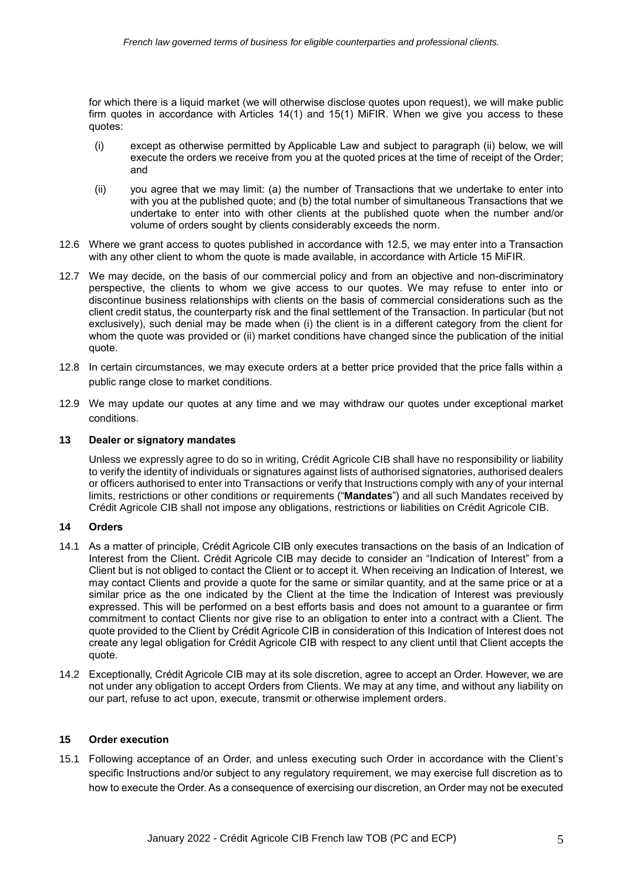for which there is a liquid market (we will otherwise disclose quotes upon request), we will make public firm quotes in accordance with Articles 14(1) and 15(1) MiFIR. When we give you access to these quotes:

- (i) except as otherwise permitted by Applicable Law and subject to paragraph (ii) below, we will execute the orders we receive from you at the quoted prices at the time of receipt of the Order; and
- (ii) you agree that we may limit: (a) the number of Transactions that we undertake to enter into with you at the published quote; and (b) the total number of simultaneous Transactions that we undertake to enter into with other clients at the published quote when the number and/or volume of orders sought by clients considerably exceeds the norm.
- 12.6 Where we grant access to quotes published in accordance with 12.5, we may enter into a Transaction with any other client to whom the quote is made available, in accordance with Article 15 MiFIR.
- 12.7 We may decide, on the basis of our commercial policy and from an objective and non-discriminatory perspective, the clients to whom we give access to our quotes. We may refuse to enter into or discontinue business relationships with clients on the basis of commercial considerations such as the client credit status, the counterparty risk and the final settlement of the Transaction. In particular (but not exclusively), such denial may be made when (i) the client is in a different category from the client for whom the quote was provided or (ii) market conditions have changed since the publication of the initial quote.
- 12.8 In certain circumstances, we may execute orders at a better price provided that the price falls within a public range close to market conditions.
- 12.9 We may update our quotes at any time and we may withdraw our quotes under exceptional market conditions.

### **13 Dealer or signatory mandates**

Unless we expressly agree to do so in writing, Crédit Agricole CIB shall have no responsibility or liability to verify the identity of individuals or signatures against lists of authorised signatories, authorised dealers or officers authorised to enter into Transactions or verify that Instructions comply with any of your internal limits, restrictions or other conditions or requirements ("**Mandates**") and all such Mandates received by Crédit Agricole CIB shall not impose any obligations, restrictions or liabilities on Crédit Agricole CIB.

#### **14 Orders**

- 14.1 As a matter of principle, Crédit Agricole CIB only executes transactions on the basis of an Indication of Interest from the Client. Crédit Agricole CIB may decide to consider an "Indication of Interest" from a Client but is not obliged to contact the Client or to accept it. When receiving an Indication of Interest, we may contact Clients and provide a quote for the same or similar quantity, and at the same price or at a similar price as the one indicated by the Client at the time the Indication of Interest was previously expressed. This will be performed on a best efforts basis and does not amount to a guarantee or firm commitment to contact Clients nor give rise to an obligation to enter into a contract with a Client. The quote provided to the Client by Crédit Agricole CIB in consideration of this Indication of Interest does not create any legal obligation for Crédit Agricole CIB with respect to any client until that Client accepts the quote.
- 14.2 Exceptionally, Crédit Agricole CIB may at its sole discretion, agree to accept an Order. However, we are not under any obligation to accept Orders from Clients. We may at any time, and without any liability on our part, refuse to act upon, execute, transmit or otherwise implement orders.

## **15 Order execution**

15.1 Following acceptance of an Order, and unless executing such Order in accordance with the Client's specific Instructions and/or subject to any regulatory requirement, we may exercise full discretion as to how to execute the Order. As a consequence of exercising our discretion, an Order may not be executed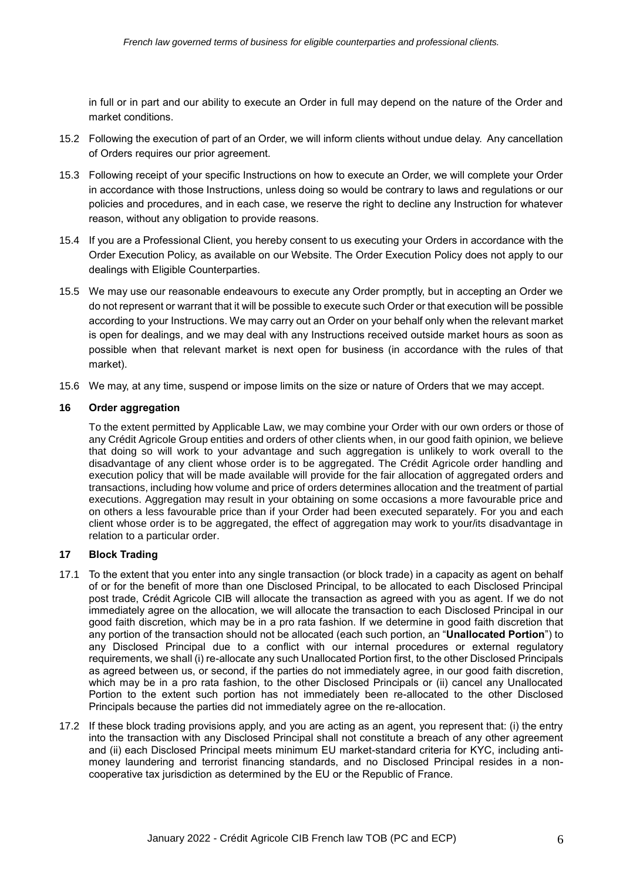in full or in part and our ability to execute an Order in full may depend on the nature of the Order and market conditions.

- 15.2 Following the execution of part of an Order, we will inform clients without undue delay. Any cancellation of Orders requires our prior agreement.
- 15.3 Following receipt of your specific Instructions on how to execute an Order, we will complete your Order in accordance with those Instructions, unless doing so would be contrary to laws and regulations or our policies and procedures, and in each case, we reserve the right to decline any Instruction for whatever reason, without any obligation to provide reasons.
- 15.4 If you are a Professional Client, you hereby consent to us executing your Orders in accordance with the Order Execution Policy, as available on our Website. The Order Execution Policy does not apply to our dealings with Eligible Counterparties.
- 15.5 We may use our reasonable endeavours to execute any Order promptly, but in accepting an Order we do not represent or warrant that it will be possible to execute such Order or that execution will be possible according to your Instructions. We may carry out an Order on your behalf only when the relevant market is open for dealings, and we may deal with any Instructions received outside market hours as soon as possible when that relevant market is next open for business (in accordance with the rules of that market).
- 15.6 We may, at any time, suspend or impose limits on the size or nature of Orders that we may accept.

### **16 Order aggregation**

To the extent permitted by Applicable Law, we may combine your Order with our own orders or those of any Crédit Agricole Group entities and orders of other clients when, in our good faith opinion, we believe that doing so will work to your advantage and such aggregation is unlikely to work overall to the disadvantage of any client whose order is to be aggregated. The Crédit Agricole order handling and execution policy that will be made available will provide for the fair allocation of aggregated orders and transactions, including how volume and price of orders determines allocation and the treatment of partial executions. Aggregation may result in your obtaining on some occasions a more favourable price and on others a less favourable price than if your Order had been executed separately. For you and each client whose order is to be aggregated, the effect of aggregation may work to your/its disadvantage in relation to a particular order.

## **17 Block Trading**

- 17.1 To the extent that you enter into any single transaction (or block trade) in a capacity as agent on behalf of or for the benefit of more than one Disclosed Principal, to be allocated to each Disclosed Principal post trade, Crédit Agricole CIB will allocate the transaction as agreed with you as agent. If we do not immediately agree on the allocation, we will allocate the transaction to each Disclosed Principal in our good faith discretion, which may be in a pro rata fashion. If we determine in good faith discretion that any portion of the transaction should not be allocated (each such portion, an "**Unallocated Portion**") to any Disclosed Principal due to a conflict with our internal procedures or external regulatory requirements, we shall (i) re-allocate any such Unallocated Portion first, to the other Disclosed Principals as agreed between us, or second, if the parties do not immediately agree, in our good faith discretion, which may be in a pro rata fashion, to the other Disclosed Principals or (ii) cancel any Unallocated Portion to the extent such portion has not immediately been re-allocated to the other Disclosed Principals because the parties did not immediately agree on the re-allocation.
- 17.2 If these block trading provisions apply, and you are acting as an agent, you represent that: (i) the entry into the transaction with any Disclosed Principal shall not constitute a breach of any other agreement and (ii) each Disclosed Principal meets minimum EU market-standard criteria for KYC, including antimoney laundering and terrorist financing standards, and no Disclosed Principal resides in a noncooperative tax jurisdiction as determined by the EU or the Republic of France.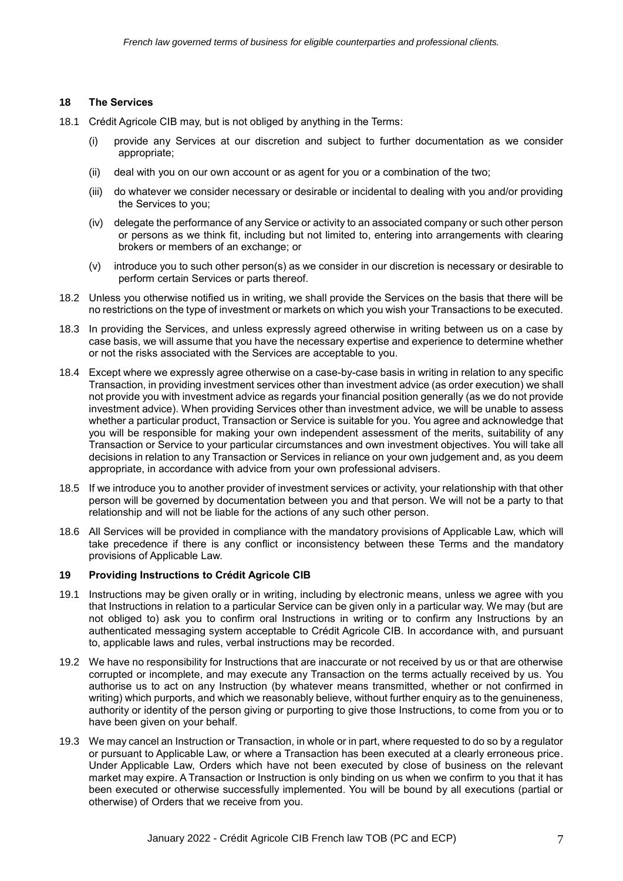### **18 The Services**

- 18.1 Crédit Agricole CIB may, but is not obliged by anything in the Terms:
	- (i) provide any Services at our discretion and subject to further documentation as we consider appropriate;
	- (ii) deal with you on our own account or as agent for you or a combination of the two;
	- (iii) do whatever we consider necessary or desirable or incidental to dealing with you and/or providing the Services to you;
	- (iv) delegate the performance of any Service or activity to an associated company or such other person or persons as we think fit, including but not limited to, entering into arrangements with clearing brokers or members of an exchange; or
	- (v) introduce you to such other person(s) as we consider in our discretion is necessary or desirable to perform certain Services or parts thereof.
- 18.2 Unless you otherwise notified us in writing, we shall provide the Services on the basis that there will be no restrictions on the type of investment or markets on which you wish your Transactions to be executed.
- 18.3 In providing the Services, and unless expressly agreed otherwise in writing between us on a case by case basis, we will assume that you have the necessary expertise and experience to determine whether or not the risks associated with the Services are acceptable to you.
- 18.4 Except where we expressly agree otherwise on a case-by-case basis in writing in relation to any specific Transaction, in providing investment services other than investment advice (as order execution) we shall not provide you with investment advice as regards your financial position generally (as we do not provide investment advice). When providing Services other than investment advice, we will be unable to assess whether a particular product, Transaction or Service is suitable for you. You agree and acknowledge that you will be responsible for making your own independent assessment of the merits, suitability of any Transaction or Service to your particular circumstances and own investment objectives. You will take all decisions in relation to any Transaction or Services in reliance on your own judgement and, as you deem appropriate, in accordance with advice from your own professional advisers.
- 18.5 If we introduce you to another provider of investment services or activity, your relationship with that other person will be governed by documentation between you and that person. We will not be a party to that relationship and will not be liable for the actions of any such other person.
- 18.6 All Services will be provided in compliance with the mandatory provisions of Applicable Law, which will take precedence if there is any conflict or inconsistency between these Terms and the mandatory provisions of Applicable Law.

#### **19 Providing Instructions to Crédit Agricole CIB**

- 19.1 Instructions may be given orally or in writing, including by electronic means, unless we agree with you that Instructions in relation to a particular Service can be given only in a particular way. We may (but are not obliged to) ask you to confirm oral Instructions in writing or to confirm any Instructions by an authenticated messaging system acceptable to Crédit Agricole CIB. In accordance with, and pursuant to, applicable laws and rules, verbal instructions may be recorded.
- 19.2 We have no responsibility for Instructions that are inaccurate or not received by us or that are otherwise corrupted or incomplete, and may execute any Transaction on the terms actually received by us. You authorise us to act on any Instruction (by whatever means transmitted, whether or not confirmed in writing) which purports, and which we reasonably believe, without further enquiry as to the genuineness, authority or identity of the person giving or purporting to give those Instructions, to come from you or to have been given on your behalf.
- 19.3 We may cancel an Instruction or Transaction, in whole or in part, where requested to do so by a regulator or pursuant to Applicable Law, or where a Transaction has been executed at a clearly erroneous price. Under Applicable Law, Orders which have not been executed by close of business on the relevant market may expire. A Transaction or Instruction is only binding on us when we confirm to you that it has been executed or otherwise successfully implemented. You will be bound by all executions (partial or otherwise) of Orders that we receive from you.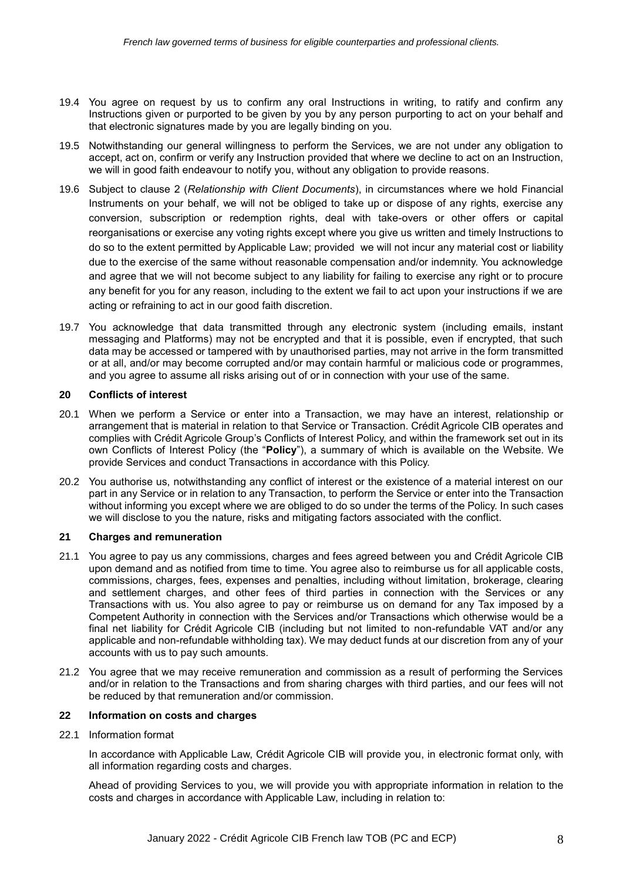- 19.4 You agree on request by us to confirm any oral Instructions in writing, to ratify and confirm any Instructions given or purported to be given by you by any person purporting to act on your behalf and that electronic signatures made by you are legally binding on you.
- 19.5 Notwithstanding our general willingness to perform the Services, we are not under any obligation to accept, act on, confirm or verify any Instruction provided that where we decline to act on an Instruction, we will in good faith endeavour to notify you, without any obligation to provide reasons.
- 19.6 Subject to clause 2 (*Relationship with Client Documents*), in circumstances where we hold Financial Instruments on your behalf, we will not be obliged to take up or dispose of any rights, exercise any conversion, subscription or redemption rights, deal with take-overs or other offers or capital reorganisations or exercise any voting rights except where you give us written and timely Instructions to do so to the extent permitted by Applicable Law; provided we will not incur any material cost or liability due to the exercise of the same without reasonable compensation and/or indemnity. You acknowledge and agree that we will not become subject to any liability for failing to exercise any right or to procure any benefit for you for any reason, including to the extent we fail to act upon your instructions if we are acting or refraining to act in our good faith discretion.
- 19.7 You acknowledge that data transmitted through any electronic system (including emails, instant messaging and Platforms) may not be encrypted and that it is possible, even if encrypted, that such data may be accessed or tampered with by unauthorised parties, may not arrive in the form transmitted or at all, and/or may become corrupted and/or may contain harmful or malicious code or programmes, and you agree to assume all risks arising out of or in connection with your use of the same.

### **20 Conflicts of interest**

- 20.1 When we perform a Service or enter into a Transaction, we may have an interest, relationship or arrangement that is material in relation to that Service or Transaction. Crédit Agricole CIB operates and complies with Crédit Agricole Group's Conflicts of Interest Policy, and within the framework set out in its own Conflicts of Interest Policy (the "**Policy**"), a summary of which is available on the Website. We provide Services and conduct Transactions in accordance with this Policy.
- 20.2 You authorise us, notwithstanding any conflict of interest or the existence of a material interest on our part in any Service or in relation to any Transaction, to perform the Service or enter into the Transaction without informing you except where we are obliged to do so under the terms of the Policy. In such cases we will disclose to you the nature, risks and mitigating factors associated with the conflict.

#### **21 Charges and remuneration**

- 21.1 You agree to pay us any commissions, charges and fees agreed between you and Crédit Agricole CIB upon demand and as notified from time to time. You agree also to reimburse us for all applicable costs, commissions, charges, fees, expenses and penalties, including without limitation, brokerage, clearing and settlement charges, and other fees of third parties in connection with the Services or any Transactions with us. You also agree to pay or reimburse us on demand for any Tax imposed by a Competent Authority in connection with the Services and/or Transactions which otherwise would be a final net liability for Crédit Agricole CIB (including but not limited to non-refundable VAT and/or any applicable and non-refundable withholding tax). We may deduct funds at our discretion from any of your accounts with us to pay such amounts.
- 21.2 You agree that we may receive remuneration and commission as a result of performing the Services and/or in relation to the Transactions and from sharing charges with third parties, and our fees will not be reduced by that remuneration and/or commission.

## **22 Information on costs and charges**

22.1 Information format

In accordance with Applicable Law, Crédit Agricole CIB will provide you, in electronic format only, with all information regarding costs and charges.

Ahead of providing Services to you, we will provide you with appropriate information in relation to the costs and charges in accordance with Applicable Law, including in relation to: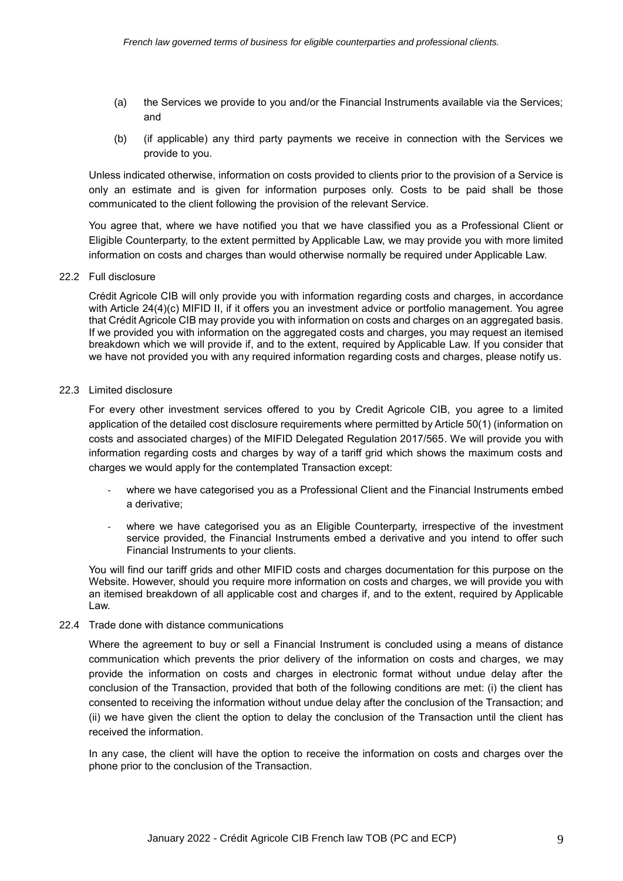- (a) the Services we provide to you and/or the Financial Instruments available via the Services; and
- (b) (if applicable) any third party payments we receive in connection with the Services we provide to you.

Unless indicated otherwise, information on costs provided to clients prior to the provision of a Service is only an estimate and is given for information purposes only. Costs to be paid shall be those communicated to the client following the provision of the relevant Service.

You agree that, where we have notified you that we have classified you as a Professional Client or Eligible Counterparty, to the extent permitted by Applicable Law, we may provide you with more limited information on costs and charges than would otherwise normally be required under Applicable Law.

#### 22.2 Full disclosure

Crédit Agricole CIB will only provide you with information regarding costs and charges, in accordance with Article 24(4)(c) MIFID II, if it offers you an investment advice or portfolio management. You agree that Crédit Agricole CIB may provide you with information on costs and charges on an aggregated basis. If we provided you with information on the aggregated costs and charges, you may request an itemised breakdown which we will provide if, and to the extent, required by Applicable Law. If you consider that we have not provided you with any required information regarding costs and charges, please notify us.

#### 22.3 Limited disclosure

For every other investment services offered to you by Credit Agricole CIB, you agree to a limited application of the detailed cost disclosure requirements where permitted by Article 50(1) (information on costs and associated charges) of the MIFID Delegated Regulation 2017/565. We will provide you with information regarding costs and charges by way of a tariff grid which shows the maximum costs and charges we would apply for the contemplated Transaction except:

- where we have categorised you as a Professional Client and the Financial Instruments embed a derivative;
- where we have categorised you as an Eligible Counterparty, irrespective of the investment service provided, the Financial Instruments embed a derivative and you intend to offer such Financial Instruments to your clients.

You will find our tariff grids and other MIFID costs and charges documentation for this purpose on the Website. However, should you require more information on costs and charges, we will provide you with an itemised breakdown of all applicable cost and charges if, and to the extent, required by Applicable Law.

### 22.4 Trade done with distance communications

Where the agreement to buy or sell a Financial Instrument is concluded using a means of distance communication which prevents the prior delivery of the information on costs and charges, we may provide the information on costs and charges in electronic format without undue delay after the conclusion of the Transaction, provided that both of the following conditions are met: (i) the client has consented to receiving the information without undue delay after the conclusion of the Transaction; and (ii) we have given the client the option to delay the conclusion of the Transaction until the client has received the information.

In any case, the client will have the option to receive the information on costs and charges over the phone prior to the conclusion of the Transaction.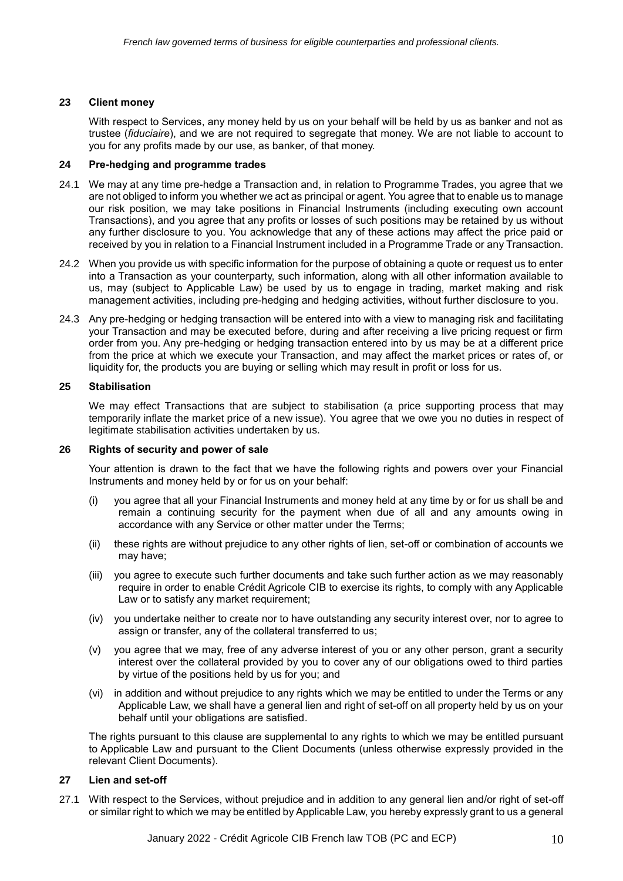#### **23 Client money**

With respect to Services, any money held by us on your behalf will be held by us as banker and not as trustee (*fiduciaire*), and we are not required to segregate that money. We are not liable to account to you for any profits made by our use, as banker, of that money.

#### **24 Pre-hedging and programme trades**

- 24.1 We may at any time pre-hedge a Transaction and, in relation to Programme Trades, you agree that we are not obliged to inform you whether we act as principal or agent. You agree that to enable us to manage our risk position, we may take positions in Financial Instruments (including executing own account Transactions), and you agree that any profits or losses of such positions may be retained by us without any further disclosure to you. You acknowledge that any of these actions may affect the price paid or received by you in relation to a Financial Instrument included in a Programme Trade or any Transaction.
- 24.2 When you provide us with specific information for the purpose of obtaining a quote or request us to enter into a Transaction as your counterparty, such information, along with all other information available to us, may (subject to Applicable Law) be used by us to engage in trading, market making and risk management activities, including pre-hedging and hedging activities, without further disclosure to you.
- 24.3 Any pre-hedging or hedging transaction will be entered into with a view to managing risk and facilitating your Transaction and may be executed before, during and after receiving a live pricing request or firm order from you. Any pre-hedging or hedging transaction entered into by us may be at a different price from the price at which we execute your Transaction, and may affect the market prices or rates of, or liquidity for, the products you are buying or selling which may result in profit or loss for us.

## **25 Stabilisation**

We may effect Transactions that are subject to stabilisation (a price supporting process that may temporarily inflate the market price of a new issue). You agree that we owe you no duties in respect of legitimate stabilisation activities undertaken by us.

#### **26 Rights of security and power of sale**

Your attention is drawn to the fact that we have the following rights and powers over your Financial Instruments and money held by or for us on your behalf:

- (i) you agree that all your Financial Instruments and money held at any time by or for us shall be and remain a continuing security for the payment when due of all and any amounts owing in accordance with any Service or other matter under the Terms;
- (ii) these rights are without prejudice to any other rights of lien, set-off or combination of accounts we may have;
- (iii) you agree to execute such further documents and take such further action as we may reasonably require in order to enable Crédit Agricole CIB to exercise its rights, to comply with any Applicable Law or to satisfy any market requirement;
- (iv) you undertake neither to create nor to have outstanding any security interest over, nor to agree to assign or transfer, any of the collateral transferred to us;
- (v) you agree that we may, free of any adverse interest of you or any other person, grant a security interest over the collateral provided by you to cover any of our obligations owed to third parties by virtue of the positions held by us for you; and
- (vi) in addition and without prejudice to any rights which we may be entitled to under the Terms or any Applicable Law, we shall have a general lien and right of set-off on all property held by us on your behalf until your obligations are satisfied.

The rights pursuant to this clause are supplemental to any rights to which we may be entitled pursuant to Applicable Law and pursuant to the Client Documents (unless otherwise expressly provided in the relevant Client Documents).

#### **27 Lien and set-off**

27.1 With respect to the Services, without prejudice and in addition to any general lien and/or right of set-off or similar right to which we may be entitled by Applicable Law, you hereby expressly grant to us a general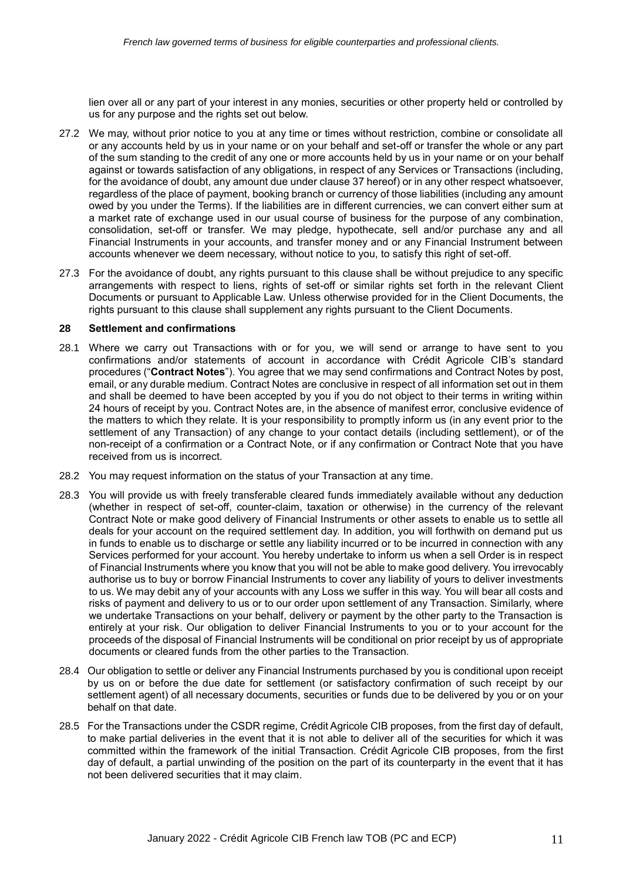lien over all or any part of your interest in any monies, securities or other property held or controlled by us for any purpose and the rights set out below.

- 27.2 We may, without prior notice to you at any time or times without restriction, combine or consolidate all or any accounts held by us in your name or on your behalf and set-off or transfer the whole or any part of the sum standing to the credit of any one or more accounts held by us in your name or on your behalf against or towards satisfaction of any obligations, in respect of any Services or Transactions (including, for the avoidance of doubt, any amount due under clause 37 hereof) or in any other respect whatsoever, regardless of the place of payment, booking branch or currency of those liabilities (including any amount owed by you under the Terms). If the liabilities are in different currencies, we can convert either sum at a market rate of exchange used in our usual course of business for the purpose of any combination, consolidation, set-off or transfer. We may pledge, hypothecate, sell and/or purchase any and all Financial Instruments in your accounts, and transfer money and or any Financial Instrument between accounts whenever we deem necessary, without notice to you, to satisfy this right of set-off.
- 27.3 For the avoidance of doubt, any rights pursuant to this clause shall be without prejudice to any specific arrangements with respect to liens, rights of set-off or similar rights set forth in the relevant Client Documents or pursuant to Applicable Law. Unless otherwise provided for in the Client Documents, the rights pursuant to this clause shall supplement any rights pursuant to the Client Documents.

#### **28 Settlement and confirmations**

- 28.1 Where we carry out Transactions with or for you, we will send or arrange to have sent to you confirmations and/or statements of account in accordance with Crédit Agricole CIB's standard procedures ("**Contract Notes**"). You agree that we may send confirmations and Contract Notes by post, email, or any durable medium. Contract Notes are conclusive in respect of all information set out in them and shall be deemed to have been accepted by you if you do not object to their terms in writing within 24 hours of receipt by you. Contract Notes are, in the absence of manifest error, conclusive evidence of the matters to which they relate. It is your responsibility to promptly inform us (in any event prior to the settlement of any Transaction) of any change to your contact details (including settlement), or of the non-receipt of a confirmation or a Contract Note, or if any confirmation or Contract Note that you have received from us is incorrect.
- 28.2 You may request information on the status of your Transaction at any time.
- 28.3 You will provide us with freely transferable cleared funds immediately available without any deduction (whether in respect of set-off, counter-claim, taxation or otherwise) in the currency of the relevant Contract Note or make good delivery of Financial Instruments or other assets to enable us to settle all deals for your account on the required settlement day. In addition, you will forthwith on demand put us in funds to enable us to discharge or settle any liability incurred or to be incurred in connection with any Services performed for your account. You hereby undertake to inform us when a sell Order is in respect of Financial Instruments where you know that you will not be able to make good delivery. You irrevocably authorise us to buy or borrow Financial Instruments to cover any liability of yours to deliver investments to us. We may debit any of your accounts with any Loss we suffer in this way. You will bear all costs and risks of payment and delivery to us or to our order upon settlement of any Transaction. Similarly, where we undertake Transactions on your behalf, delivery or payment by the other party to the Transaction is entirely at your risk. Our obligation to deliver Financial Instruments to you or to your account for the proceeds of the disposal of Financial Instruments will be conditional on prior receipt by us of appropriate documents or cleared funds from the other parties to the Transaction.
- 28.4 Our obligation to settle or deliver any Financial Instruments purchased by you is conditional upon receipt by us on or before the due date for settlement (or satisfactory confirmation of such receipt by our settlement agent) of all necessary documents, securities or funds due to be delivered by you or on your behalf on that date.
- 28.5 For the Transactions under the CSDR regime, Crédit Agricole CIB proposes, from the first day of default, to make partial deliveries in the event that it is not able to deliver all of the securities for which it was committed within the framework of the initial Transaction. Crédit Agricole CIB proposes, from the first day of default, a partial unwinding of the position on the part of its counterparty in the event that it has not been delivered securities that it may claim.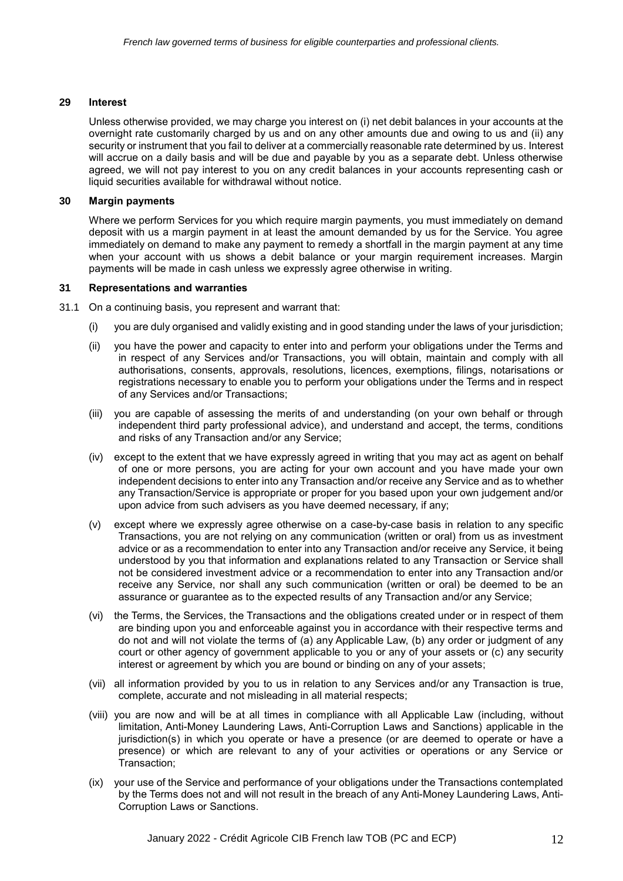### **29 Interest**

Unless otherwise provided, we may charge you interest on (i) net debit balances in your accounts at the overnight rate customarily charged by us and on any other amounts due and owing to us and (ii) any security or instrument that you fail to deliver at a commercially reasonable rate determined by us. Interest will accrue on a daily basis and will be due and payable by you as a separate debt. Unless otherwise agreed, we will not pay interest to you on any credit balances in your accounts representing cash or liquid securities available for withdrawal without notice.

## **30 Margin payments**

Where we perform Services for you which require margin payments, you must immediately on demand deposit with us a margin payment in at least the amount demanded by us for the Service. You agree immediately on demand to make any payment to remedy a shortfall in the margin payment at any time when your account with us shows a debit balance or your margin requirement increases. Margin payments will be made in cash unless we expressly agree otherwise in writing.

### **31 Representations and warranties**

31.1 On a continuing basis, you represent and warrant that:

- (i) you are duly organised and validly existing and in good standing under the laws of your jurisdiction;
- (ii) you have the power and capacity to enter into and perform your obligations under the Terms and in respect of any Services and/or Transactions, you will obtain, maintain and comply with all authorisations, consents, approvals, resolutions, licences, exemptions, filings, notarisations or registrations necessary to enable you to perform your obligations under the Terms and in respect of any Services and/or Transactions;
- (iii) you are capable of assessing the merits of and understanding (on your own behalf or through independent third party professional advice), and understand and accept, the terms, conditions and risks of any Transaction and/or any Service;
- (iv) except to the extent that we have expressly agreed in writing that you may act as agent on behalf of one or more persons, you are acting for your own account and you have made your own independent decisions to enter into any Transaction and/or receive any Service and as to whether any Transaction/Service is appropriate or proper for you based upon your own judgement and/or upon advice from such advisers as you have deemed necessary, if any;
- (v) except where we expressly agree otherwise on a case-by-case basis in relation to any specific Transactions, you are not relying on any communication (written or oral) from us as investment advice or as a recommendation to enter into any Transaction and/or receive any Service, it being understood by you that information and explanations related to any Transaction or Service shall not be considered investment advice or a recommendation to enter into any Transaction and/or receive any Service, nor shall any such communication (written or oral) be deemed to be an assurance or guarantee as to the expected results of any Transaction and/or any Service;
- (vi) the Terms, the Services, the Transactions and the obligations created under or in respect of them are binding upon you and enforceable against you in accordance with their respective terms and do not and will not violate the terms of (a) any Applicable Law, (b) any order or judgment of any court or other agency of government applicable to you or any of your assets or (c) any security interest or agreement by which you are bound or binding on any of your assets;
- (vii) all information provided by you to us in relation to any Services and/or any Transaction is true, complete, accurate and not misleading in all material respects;
- (viii) you are now and will be at all times in compliance with all Applicable Law (including, without limitation, Anti-Money Laundering Laws, Anti-Corruption Laws and Sanctions) applicable in the jurisdiction(s) in which you operate or have a presence (or are deemed to operate or have a presence) or which are relevant to any of your activities or operations or any Service or Transaction;
- (ix) your use of the Service and performance of your obligations under the Transactions contemplated by the Terms does not and will not result in the breach of any Anti-Money Laundering Laws, Anti-Corruption Laws or Sanctions.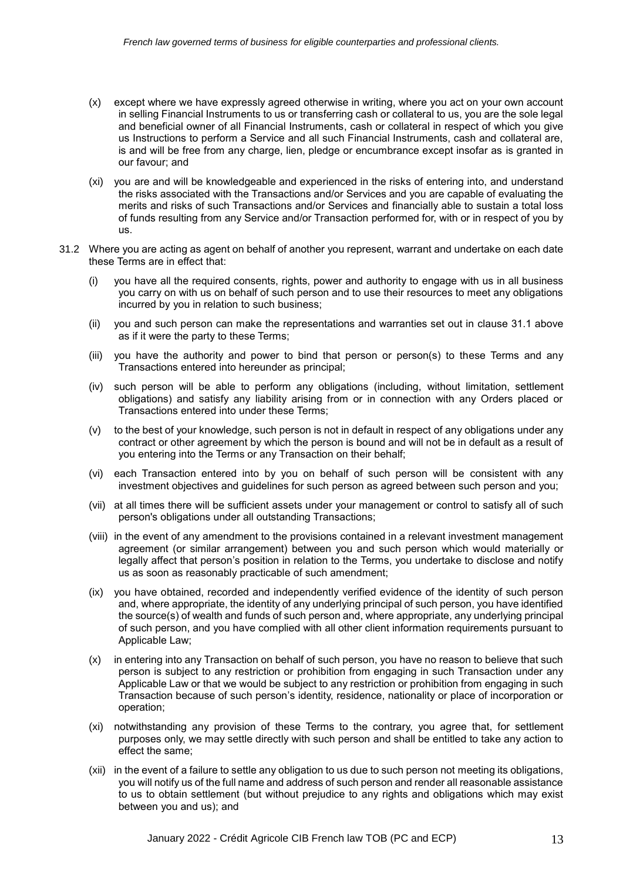- (x) except where we have expressly agreed otherwise in writing, where you act on your own account in selling Financial Instruments to us or transferring cash or collateral to us, you are the sole legal and beneficial owner of all Financial Instruments, cash or collateral in respect of which you give us Instructions to perform a Service and all such Financial Instruments, cash and collateral are, is and will be free from any charge, lien, pledge or encumbrance except insofar as is granted in our favour; and
- (xi) you are and will be knowledgeable and experienced in the risks of entering into, and understand the risks associated with the Transactions and/or Services and you are capable of evaluating the merits and risks of such Transactions and/or Services and financially able to sustain a total loss of funds resulting from any Service and/or Transaction performed for, with or in respect of you by us.
- 31.2 Where you are acting as agent on behalf of another you represent, warrant and undertake on each date these Terms are in effect that:
	- (i) you have all the required consents, rights, power and authority to engage with us in all business you carry on with us on behalf of such person and to use their resources to meet any obligations incurred by you in relation to such business;
	- (ii) you and such person can make the representations and warranties set out in clause 31.1 above as if it were the party to these Terms;
	- (iii) you have the authority and power to bind that person or person(s) to these Terms and any Transactions entered into hereunder as principal;
	- (iv) such person will be able to perform any obligations (including, without limitation, settlement obligations) and satisfy any liability arising from or in connection with any Orders placed or Transactions entered into under these Terms;
	- (v) to the best of your knowledge, such person is not in default in respect of any obligations under any contract or other agreement by which the person is bound and will not be in default as a result of you entering into the Terms or any Transaction on their behalf;
	- (vi) each Transaction entered into by you on behalf of such person will be consistent with any investment objectives and guidelines for such person as agreed between such person and you;
	- (vii) at all times there will be sufficient assets under your management or control to satisfy all of such person's obligations under all outstanding Transactions;
	- (viii) in the event of any amendment to the provisions contained in a relevant investment management agreement (or similar arrangement) between you and such person which would materially or legally affect that person's position in relation to the Terms, you undertake to disclose and notify us as soon as reasonably practicable of such amendment;
	- (ix) you have obtained, recorded and independently verified evidence of the identity of such person and, where appropriate, the identity of any underlying principal of such person, you have identified the source(s) of wealth and funds of such person and, where appropriate, any underlying principal of such person, and you have complied with all other client information requirements pursuant to Applicable Law;
	- (x) in entering into any Transaction on behalf of such person, you have no reason to believe that such person is subject to any restriction or prohibition from engaging in such Transaction under any Applicable Law or that we would be subject to any restriction or prohibition from engaging in such Transaction because of such person's identity, residence, nationality or place of incorporation or operation;
	- (xi) notwithstanding any provision of these Terms to the contrary, you agree that, for settlement purposes only, we may settle directly with such person and shall be entitled to take any action to effect the same;
	- (xii) in the event of a failure to settle any obligation to us due to such person not meeting its obligations, you will notify us of the full name and address of such person and render all reasonable assistance to us to obtain settlement (but without prejudice to any rights and obligations which may exist between you and us); and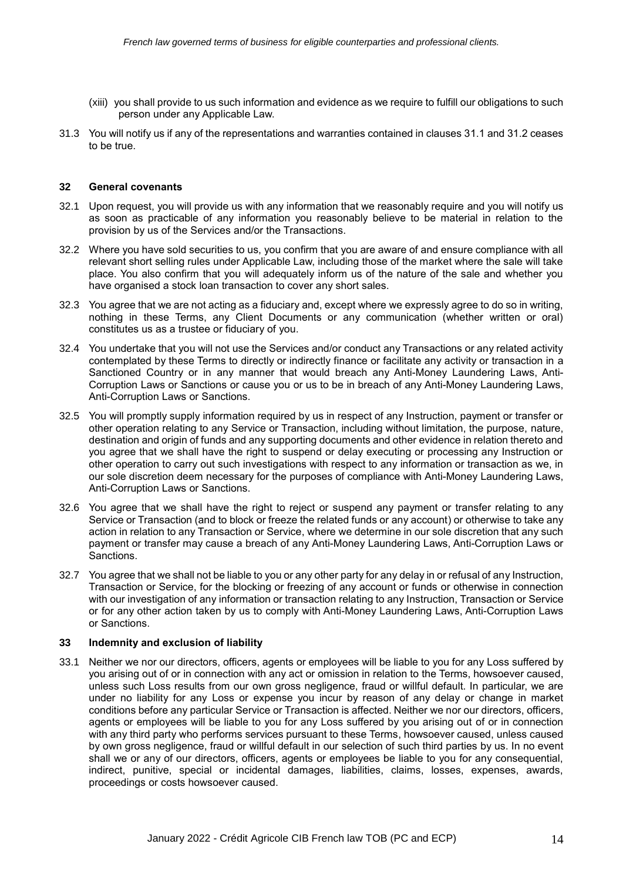- (xiii) you shall provide to us such information and evidence as we require to fulfill our obligations to such person under any Applicable Law.
- 31.3 You will notify us if any of the representations and warranties contained in clauses 31.1 and 31.2 ceases to be true.

#### **32 General covenants**

- 32.1 Upon request, you will provide us with any information that we reasonably require and you will notify us as soon as practicable of any information you reasonably believe to be material in relation to the provision by us of the Services and/or the Transactions.
- 32.2 Where you have sold securities to us, you confirm that you are aware of and ensure compliance with all relevant short selling rules under Applicable Law, including those of the market where the sale will take place. You also confirm that you will adequately inform us of the nature of the sale and whether you have organised a stock loan transaction to cover any short sales.
- 32.3 You agree that we are not acting as a fiduciary and, except where we expressly agree to do so in writing, nothing in these Terms, any Client Documents or any communication (whether written or oral) constitutes us as a trustee or fiduciary of you.
- 32.4 You undertake that you will not use the Services and/or conduct any Transactions or any related activity contemplated by these Terms to directly or indirectly finance or facilitate any activity or transaction in a Sanctioned Country or in any manner that would breach any Anti-Money Laundering Laws, Anti-Corruption Laws or Sanctions or cause you or us to be in breach of any Anti-Money Laundering Laws, Anti-Corruption Laws or Sanctions.
- 32.5 You will promptly supply information required by us in respect of any Instruction, payment or transfer or other operation relating to any Service or Transaction, including without limitation, the purpose, nature, destination and origin of funds and any supporting documents and other evidence in relation thereto and you agree that we shall have the right to suspend or delay executing or processing any Instruction or other operation to carry out such investigations with respect to any information or transaction as we, in our sole discretion deem necessary for the purposes of compliance with Anti-Money Laundering Laws, Anti-Corruption Laws or Sanctions.
- 32.6 You agree that we shall have the right to reject or suspend any payment or transfer relating to any Service or Transaction (and to block or freeze the related funds or any account) or otherwise to take any action in relation to any Transaction or Service, where we determine in our sole discretion that any such payment or transfer may cause a breach of any Anti-Money Laundering Laws, Anti-Corruption Laws or Sanctions.
- 32.7 You agree that we shall not be liable to you or any other party for any delay in or refusal of any Instruction, Transaction or Service, for the blocking or freezing of any account or funds or otherwise in connection with our investigation of any information or transaction relating to any Instruction, Transaction or Service or for any other action taken by us to comply with Anti-Money Laundering Laws, Anti-Corruption Laws or Sanctions.

#### **33 Indemnity and exclusion of liability**

33.1 Neither we nor our directors, officers, agents or employees will be liable to you for any Loss suffered by you arising out of or in connection with any act or omission in relation to the Terms, howsoever caused, unless such Loss results from our own gross negligence, fraud or willful default. In particular, we are under no liability for any Loss or expense you incur by reason of any delay or change in market conditions before any particular Service or Transaction is affected. Neither we nor our directors, officers, agents or employees will be liable to you for any Loss suffered by you arising out of or in connection with any third party who performs services pursuant to these Terms, howsoever caused, unless caused by own gross negligence, fraud or willful default in our selection of such third parties by us. In no event shall we or any of our directors, officers, agents or employees be liable to you for any consequential, indirect, punitive, special or incidental damages, liabilities, claims, losses, expenses, awards, proceedings or costs howsoever caused.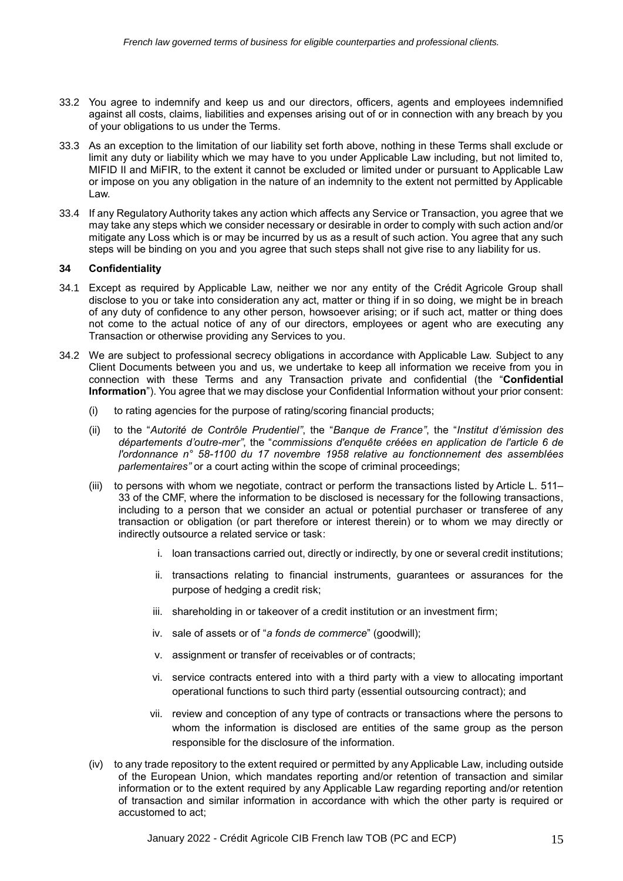- 33.2 You agree to indemnify and keep us and our directors, officers, agents and employees indemnified against all costs, claims, liabilities and expenses arising out of or in connection with any breach by you of your obligations to us under the Terms.
- 33.3 As an exception to the limitation of our liability set forth above, nothing in these Terms shall exclude or limit any duty or liability which we may have to you under Applicable Law including, but not limited to, MIFID II and MiFIR, to the extent it cannot be excluded or limited under or pursuant to Applicable Law or impose on you any obligation in the nature of an indemnity to the extent not permitted by Applicable Law.
- 33.4 If any Regulatory Authority takes any action which affects any Service or Transaction, you agree that we may take any steps which we consider necessary or desirable in order to comply with such action and/or mitigate any Loss which is or may be incurred by us as a result of such action. You agree that any such steps will be binding on you and you agree that such steps shall not give rise to any liability for us.

## **34 Confidentiality**

- 34.1 Except as required by Applicable Law, neither we nor any entity of the Crédit Agricole Group shall disclose to you or take into consideration any act, matter or thing if in so doing, we might be in breach of any duty of confidence to any other person, howsoever arising; or if such act, matter or thing does not come to the actual notice of any of our directors, employees or agent who are executing any Transaction or otherwise providing any Services to you.
- 34.2 We are subject to professional secrecy obligations in accordance with Applicable Law. Subject to any Client Documents between you and us, we undertake to keep all information we receive from you in connection with these Terms and any Transaction private and confidential (the "**Confidential Information**"). You agree that we may disclose your Confidential Information without your prior consent:
	- (i) to rating agencies for the purpose of rating/scoring financial products;
	- (ii) to the "*Autorité de Contrôle Prudentiel"*, the "*Banque de France"*, the "*Institut d'émission des départements d'outre-mer"*, the "*commissions d'enquête créées en application de [l'article 6 d](https://www.legifrance.gouv.fr/affichTexteArticle.do?cidTexte=JORFTEXT000000705067&idArticle=LEGIARTI000006530047&dateTexte=&categorieLien=cid)e l'ordonnance n° 58-1100 du 17 novembre 1958 relative au fonctionnement des assemblées parlementaires"* or a court acting within the scope of criminal proceedings;
	- (iii) to persons with whom we negotiate, contract or perform the transactions listed by Article L. 511– 33 of the CMF, where the information to be disclosed is necessary for the following transactions, including to a person that we consider an actual or potential purchaser or transferee of any transaction or obligation (or part therefore or interest therein) or to whom we may directly or indirectly outsource a related service or task:
		- i. loan transactions carried out, directly or indirectly, by one or several credit institutions;
		- ii. transactions relating to financial instruments, guarantees or assurances for the purpose of hedging a credit risk;
		- iii. shareholding in or takeover of a credit institution or an investment firm;
		- iv. sale of assets or of "*a fonds de commerce*" (goodwill);
		- v. assignment or transfer of receivables or of contracts;
		- vi. service contracts entered into with a third party with a view to allocating important operational functions to such third party (essential outsourcing contract); and
		- vii. review and conception of any type of contracts or transactions where the persons to whom the information is disclosed are entities of the same group as the person responsible for the disclosure of the information.
	- (iv) to any trade repository to the extent required or permitted by any Applicable Law, including outside of the European Union, which mandates reporting and/or retention of transaction and similar information or to the extent required by any Applicable Law regarding reporting and/or retention of transaction and similar information in accordance with which the other party is required or accustomed to act;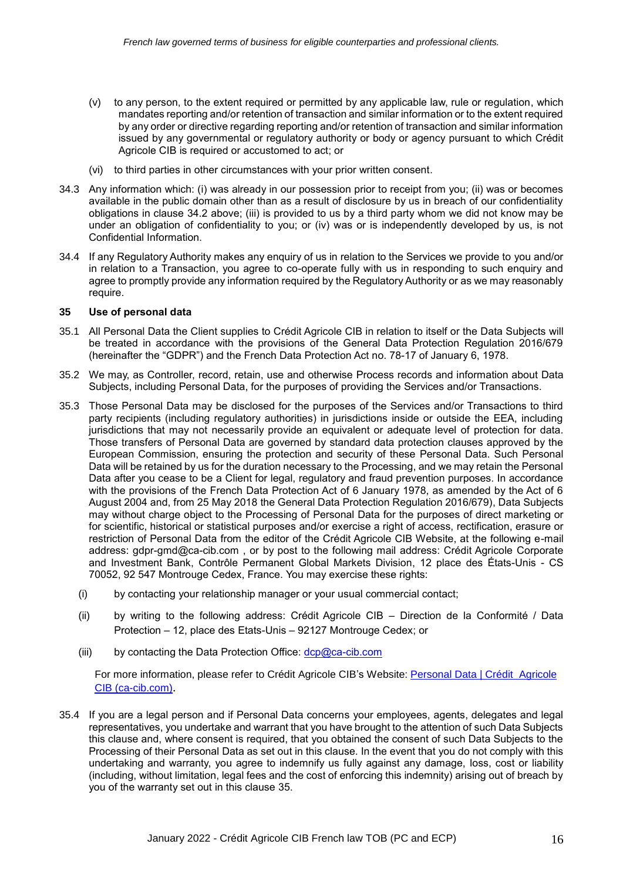- (v) to any person, to the extent required or permitted by any applicable law, rule or regulation, which mandates reporting and/or retention of transaction and similar information or to the extent required by any order or directive regarding reporting and/or retention of transaction and similar information issued by any governmental or regulatory authority or body or agency pursuant to which Crédit Agricole CIB is required or accustomed to act; or
- (vi) to third parties in other circumstances with your prior written consent.
- 34.3 Any information which: (i) was already in our possession prior to receipt from you; (ii) was or becomes available in the public domain other than as a result of disclosure by us in breach of our confidentiality obligations in clause 34.2 above; (iii) is provided to us by a third party whom we did not know may be under an obligation of confidentiality to you; or (iv) was or is independently developed by us, is not Confidential Information.
- 34.4 If any Regulatory Authority makes any enquiry of us in relation to the Services we provide to you and/or in relation to a Transaction, you agree to co-operate fully with us in responding to such enquiry and agree to promptly provide any information required by the Regulatory Authority or as we may reasonably require.

#### **35 Use of personal data**

- 35.1 All Personal Data the Client supplies to Crédit Agricole CIB in relation to itself or the Data Subjects will be treated in accordance with the provisions of the General Data Protection Regulation 2016/679 (hereinafter the "GDPR") and the French Data Protection Act no. 78-17 of January 6, 1978.
- 35.2 We may, as Controller, record, retain, use and otherwise Process records and information about Data Subjects, including Personal Data, for the purposes of providing the Services and/or Transactions.
- 35.3 Those Personal Data may be disclosed for the purposes of the Services and/or Transactions to third party recipients (including regulatory authorities) in jurisdictions inside or outside the EEA, including jurisdictions that may not necessarily provide an equivalent or adequate level of protection for data. Those transfers of Personal Data are governed by standard data protection clauses approved by the European Commission, ensuring the protection and security of these Personal Data. Such Personal Data will be retained by us for the duration necessary to the Processing, and we may retain the Personal Data after you cease to be a Client for legal, regulatory and fraud prevention purposes. In accordance with the provisions of the French Data Protection Act of 6 January 1978, as amended by the Act of 6 August 2004 and, from 25 May 2018 the General Data Protection Regulation 2016/679), Data Subjects may without charge object to the Processing of Personal Data for the purposes of direct marketing or for scientific, historical or statistical purposes and/or exercise a right of access, rectification, erasure or restriction of Personal Data from the editor of the Crédit Agricole CIB Website, at the following e-mail address: [gdpr-gmd@ca-cib.com](mailto:gdpr-gmd@ca-cib.com) , or by post to the following mail address: Crédit Agricole Corporate and Investment Bank, Contrôle Permanent Global Markets Division, 12 place des États-Unis - CS 70052, 92 547 Montrouge Cedex, France. You may exercise these rights:
	- (i) by contacting your relationship manager or your usual commercial contact;
	- (ii) by writing to the following address: Crédit Agricole CIB Direction de la Conformité / Data Protection – 12, place des Etats-Unis – 92127 Montrouge Cedex; or
	- (iii) by contacting the Data Protection Office:  $\text{dcp@ca-cib.com}$

For more information, please refer to Crédit Agricole CIB's Website: [Personal Data | Crédit Agricole](https://www.ca-cib.com/personal-data) [CIB \(ca-cib.com\)](https://www.ca-cib.com/personal-data).

35.4 If you are a legal person and if Personal Data concerns your employees, agents, delegates and legal representatives, you undertake and warrant that you have brought to the attention of such Data Subjects this clause and, where consent is required, that you obtained the consent of such Data Subjects to the Processing of their Personal Data as set out in this clause. In the event that you do not comply with this undertaking and warranty, you agree to indemnify us fully against any damage, loss, cost or liability (including, without limitation, legal fees and the cost of enforcing this indemnity) arising out of breach by you of the warranty set out in this clause 35.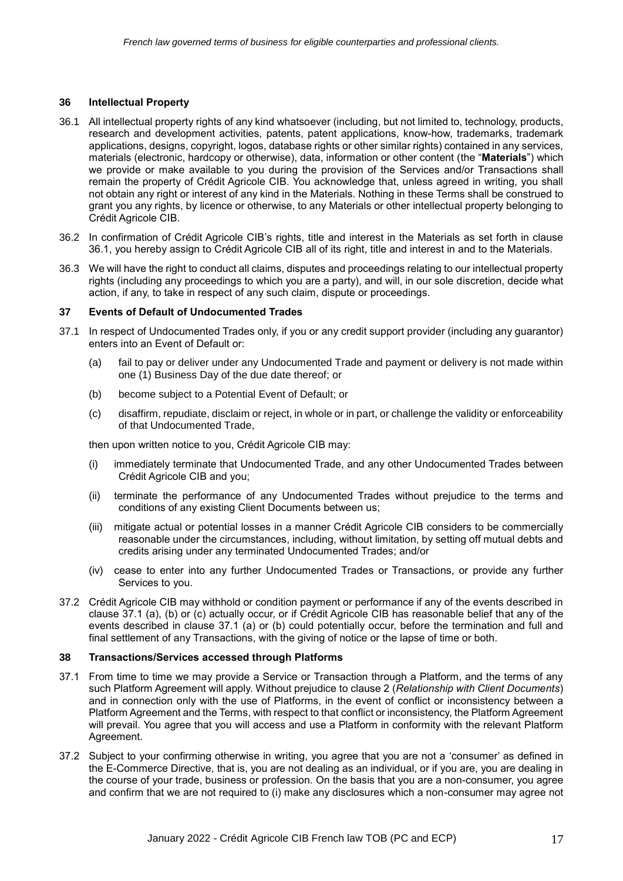### **36 Intellectual Property**

- 36.1 All intellectual property rights of any kind whatsoever (including, but not limited to, technology, products, research and development activities, patents, patent applications, know-how, trademarks, trademark applications, designs, copyright, logos, database rights or other similar rights) contained in any services, materials (electronic, hardcopy or otherwise), data, information or other content (the "**Materials**") which we provide or make available to you during the provision of the Services and/or Transactions shall remain the property of Crédit Agricole CIB. You acknowledge that, unless agreed in writing, you shall not obtain any right or interest of any kind in the Materials. Nothing in these Terms shall be construed to grant you any rights, by licence or otherwise, to any Materials or other intellectual property belonging to Crédit Agricole CIB.
- 36.2 In confirmation of Crédit Agricole CIB's rights, title and interest in the Materials as set forth in clause 36.1, you hereby assign to Crédit Agricole CIB all of its right, title and interest in and to the Materials.
- 36.3 We will have the right to conduct all claims, disputes and proceedings relating to our intellectual property rights (including any proceedings to which you are a party), and will, in our sole discretion, decide what action, if any, to take in respect of any such claim, dispute or proceedings.

#### **37 Events of Default of Undocumented Trades**

- 37.1 In respect of Undocumented Trades only, if you or any credit support provider (including any guarantor) enters into an Event of Default or:
	- (a) fail to pay or deliver under any Undocumented Trade and payment or delivery is not made within one (1) Business Day of the due date thereof; or
	- (b) become subject to a Potential Event of Default; or
	- (c) disaffirm, repudiate, disclaim or reject, in whole or in part, or challenge the validity or enforceability of that Undocumented Trade,

then upon written notice to you, Crédit Agricole CIB may:

- (i) immediately terminate that Undocumented Trade, and any other Undocumented Trades between Crédit Agricole CIB and you;
- (ii) terminate the performance of any Undocumented Trades without prejudice to the terms and conditions of any existing Client Documents between us;
- (iii) mitigate actual or potential losses in a manner Crédit Agricole CIB considers to be commercially reasonable under the circumstances, including, without limitation, by setting off mutual debts and credits arising under any terminated Undocumented Trades; and/or
- (iv) cease to enter into any further Undocumented Trades or Transactions, or provide any further Services to you.
- 37.2 Crédit Agricole CIB may withhold or condition payment or performance if any of the events described in clause 37.1 (a), (b) or (c) actually occur, or if Crédit Agricole CIB has reasonable belief that any of the events described in clause 37.1 (a) or (b) could potentially occur, before the termination and full and final settlement of any Transactions, with the giving of notice or the lapse of time or both.

### **38 Transactions/Services accessed through Platforms**

- 37.1 From time to time we may provide a Service or Transaction through a Platform, and the terms of any such Platform Agreement will apply. Without prejudice to clause 2 (*Relationship with Client Documents*) and in connection only with the use of Platforms, in the event of conflict or inconsistency between a Platform Agreement and the Terms, with respect to that conflict or inconsistency, the Platform Agreement will prevail. You agree that you will access and use a Platform in conformity with the relevant Platform Agreement.
- 37.2 Subject to your confirming otherwise in writing, you agree that you are not a 'consumer' as defined in the E-Commerce Directive, that is, you are not dealing as an individual, or if you are, you are dealing in the course of your trade, business or profession. On the basis that you are a non-consumer, you agree and confirm that we are not required to (i) make any disclosures which a non-consumer may agree not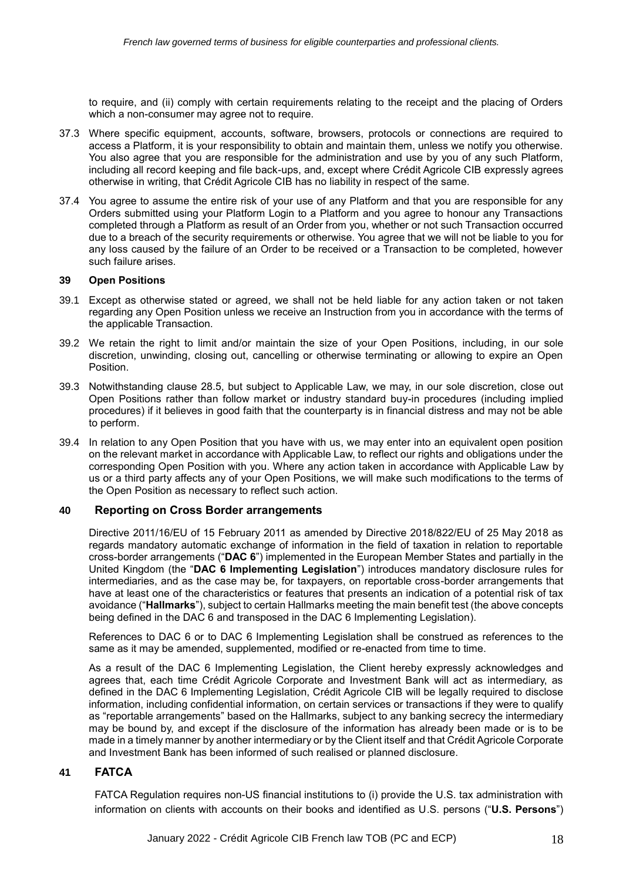to require, and (ii) comply with certain requirements relating to the receipt and the placing of Orders which a non-consumer may agree not to require.

- 37.3 Where specific equipment, accounts, software, browsers, protocols or connections are required to access a Platform, it is your responsibility to obtain and maintain them, unless we notify you otherwise. You also agree that you are responsible for the administration and use by you of any such Platform, including all record keeping and file back-ups, and, except where Crédit Agricole CIB expressly agrees otherwise in writing, that Crédit Agricole CIB has no liability in respect of the same.
- 37.4 You agree to assume the entire risk of your use of any Platform and that you are responsible for any Orders submitted using your Platform Login to a Platform and you agree to honour any Transactions completed through a Platform as result of an Order from you, whether or not such Transaction occurred due to a breach of the security requirements or otherwise. You agree that we will not be liable to you for any loss caused by the failure of an Order to be received or a Transaction to be completed, however such failure arises.

#### **39 Open Positions**

- 39.1 Except as otherwise stated or agreed, we shall not be held liable for any action taken or not taken regarding any Open Position unless we receive an Instruction from you in accordance with the terms of the applicable Transaction.
- 39.2 We retain the right to limit and/or maintain the size of your Open Positions, including, in our sole discretion, unwinding, closing out, cancelling or otherwise terminating or allowing to expire an Open Position.
- 39.3 Notwithstanding clause 28.5, but subject to Applicable Law, we may, in our sole discretion, close out Open Positions rather than follow market or industry standard buy-in procedures (including implied procedures) if it believes in good faith that the counterparty is in financial distress and may not be able to perform.
- 39.4 In relation to any Open Position that you have with us, we may enter into an equivalent open position on the relevant market in accordance with Applicable Law, to reflect our rights and obligations under the corresponding Open Position with you. Where any action taken in accordance with Applicable Law by us or a third party affects any of your Open Positions, we will make such modifications to the terms of the Open Position as necessary to reflect such action.

#### **40 Reporting on Cross Border arrangements**

Directive 2011/16/EU of 15 February 2011 as amended by Directive 2018/822/EU of 25 May 2018 as regards mandatory automatic exchange of information in the field of taxation in relation to reportable cross-border arrangements ("**DAC 6**") implemented in the European Member States and partially in the United Kingdom (the "**DAC 6 Implementing Legislation**") introduces mandatory disclosure rules for intermediaries, and as the case may be, for taxpayers, on reportable cross-border arrangements that have at least one of the characteristics or features that presents an indication of a potential risk of tax avoidance ("**Hallmarks**"), subject to certain Hallmarks meeting the main benefit test (the above concepts being defined in the DAC 6 and transposed in the DAC 6 Implementing Legislation).

References to DAC 6 or to DAC 6 Implementing Legislation shall be construed as references to the same as it may be amended, supplemented, modified or re-enacted from time to time.

As a result of the DAC 6 Implementing Legislation, the Client hereby expressly acknowledges and agrees that, each time Crédit Agricole Corporate and Investment Bank will act as intermediary, as defined in the DAC 6 Implementing Legislation, Crédit Agricole CIB will be legally required to disclose information, including confidential information, on certain services or transactions if they were to qualify as "reportable arrangements" based on the Hallmarks, subject to any banking secrecy the intermediary may be bound by, and except if the disclosure of the information has already been made or is to be made in a timely manner by another intermediary or by the Client itself and that Crédit Agricole Corporate and Investment Bank has been informed of such realised or planned disclosure.

## **41 FATCA**

FATCA Regulation requires non-US financial institutions to (i) provide the U.S. tax administration with information on clients with accounts on their books and identified as U.S. persons ("**U.S. Persons**")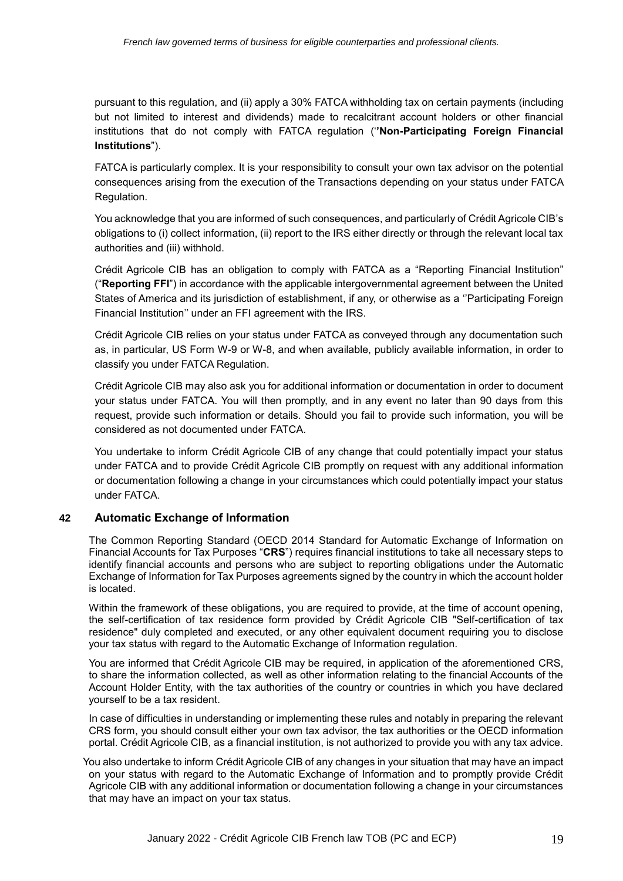pursuant to this regulation, and (ii) apply a 30% FATCA withholding tax on certain payments (including but not limited to interest and dividends) made to recalcitrant account holders or other financial institutions that do not comply with FATCA regulation ('**'Non-Participating Foreign Financial Institutions**").

FATCA is particularly complex. It is your responsibility to consult your own tax advisor on the potential consequences arising from the execution of the Transactions depending on your status under FATCA Regulation.

You acknowledge that you are informed of such consequences, and particularly of Crédit Agricole CIB's obligations to (i) collect information, (ii) report to the IRS either directly or through the relevant local tax authorities and (iii) withhold.

Crédit Agricole CIB has an obligation to comply with FATCA as a "Reporting Financial Institution" ("**Reporting FFI**") in accordance with the applicable intergovernmental agreement between the United States of America and its jurisdiction of establishment, if any, or otherwise as a ''Participating Foreign Financial Institution'' under an FFI agreement with the IRS.

Crédit Agricole CIB relies on your status under FATCA as conveyed through any documentation such as, in particular, US Form W-9 or W-8, and when available, publicly available information, in order to classify you under FATCA Regulation.

Crédit Agricole CIB may also ask you for additional information or documentation in order to document your status under FATCA. You will then promptly, and in any event no later than 90 days from this request, provide such information or details. Should you fail to provide such information, you will be considered as not documented under FATCA.

You undertake to inform Crédit Agricole CIB of any change that could potentially impact your status under FATCA and to provide Crédit Agricole CIB promptly on request with any additional information or documentation following a change in your circumstances which could potentially impact your status under FATCA.

## **42 Automatic Exchange of Information**

The Common Reporting Standard (OECD 2014 Standard for Automatic Exchange of Information on Financial Accounts for Tax Purposes "**CRS**") requires financial institutions to take all necessary steps to identify financial accounts and persons who are subject to reporting obligations under the Automatic Exchange of Information for Tax Purposes agreements signed by the country in which the account holder is located.

Within the framework of these obligations, you are required to provide, at the time of account opening, the self-certification of tax residence form provided by Crédit Agricole CIB "Self-certification of tax residence" duly completed and executed, or any other equivalent document requiring you to disclose your tax status with regard to the Automatic Exchange of Information regulation.

You are informed that Crédit Agricole CIB may be required, in application of the aforementioned CRS, to share the information collected, as well as other information relating to the financial Accounts of the Account Holder Entity, with the tax authorities of the country or countries in which you have declared yourself to be a tax resident.

In case of difficulties in understanding or implementing these rules and notably in preparing the relevant CRS form, you should consult either your own tax advisor, the tax authorities or the OECD information portal. Crédit Agricole CIB, as a financial institution, is not authorized to provide you with any tax advice.

You also undertake to inform Crédit Agricole CIB of any changes in your situation that may have an impact on your status with regard to the Automatic Exchange of Information and to promptly provide Crédit Agricole CIB with any additional information or documentation following a change in your circumstances that may have an impact on your tax status.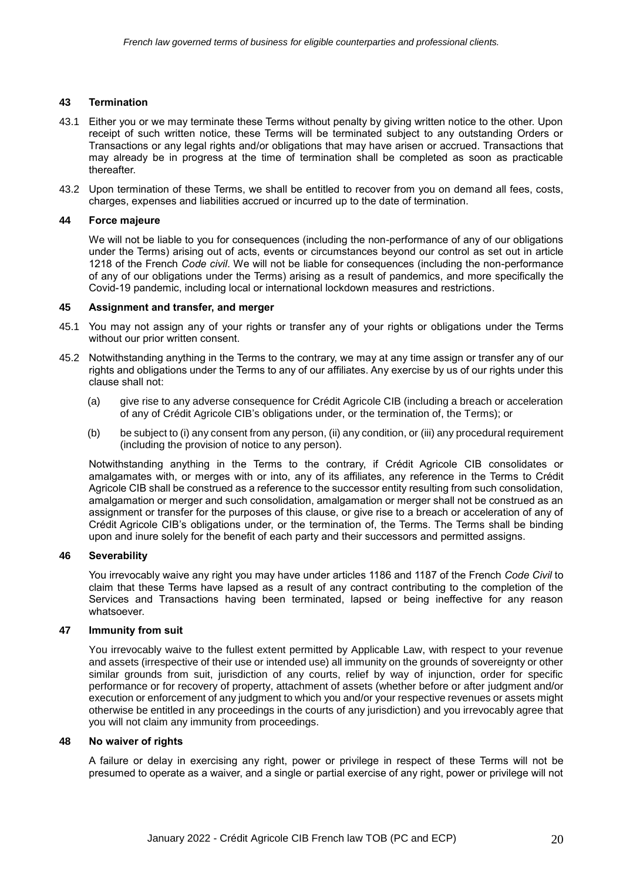### **43 Termination**

- 43.1 Either you or we may terminate these Terms without penalty by giving written notice to the other. Upon receipt of such written notice, these Terms will be terminated subject to any outstanding Orders or Transactions or any legal rights and/or obligations that may have arisen or accrued. Transactions that may already be in progress at the time of termination shall be completed as soon as practicable thereafter.
- 43.2 Upon termination of these Terms, we shall be entitled to recover from you on demand all fees, costs, charges, expenses and liabilities accrued or incurred up to the date of termination.

### **44 Force majeure**

We will not be liable to you for consequences (including the non-performance of any of our obligations under the Terms) arising out of acts, events or circumstances beyond our control as set out in article 1218 of the French *Code civil*. We will not be liable for consequences (including the non-performance of any of our obligations under the Terms) arising as a result of pandemics, and more specifically the Covid-19 pandemic, including local or international lockdown measures and restrictions.

## **45 Assignment and transfer, and merger**

- 45.1 You may not assign any of your rights or transfer any of your rights or obligations under the Terms without our prior written consent.
- 45.2 Notwithstanding anything in the Terms to the contrary, we may at any time assign or transfer any of our rights and obligations under the Terms to any of our affiliates. Any exercise by us of our rights under this clause shall not:
	- (a) give rise to any adverse consequence for Crédit Agricole CIB (including a breach or acceleration of any of Crédit Agricole CIB's obligations under, or the termination of, the Terms); or
	- (b) be subject to (i) any consent from any person, (ii) any condition, or (iii) any procedural requirement (including the provision of notice to any person).

Notwithstanding anything in the Terms to the contrary, if Crédit Agricole CIB consolidates or amalgamates with, or merges with or into, any of its affiliates, any reference in the Terms to Crédit Agricole CIB shall be construed as a reference to the successor entity resulting from such consolidation, amalgamation or merger and such consolidation, amalgamation or merger shall not be construed as an assignment or transfer for the purposes of this clause, or give rise to a breach or acceleration of any of Crédit Agricole CIB's obligations under, or the termination of, the Terms. The Terms shall be binding upon and inure solely for the benefit of each party and their successors and permitted assigns.

## **46 Severability**

You irrevocably waive any right you may have under articles 1186 and 1187 of the French *Code Civil* to claim that these Terms have lapsed as a result of any contract contributing to the completion of the Services and Transactions having been terminated, lapsed or being ineffective for any reason whatsoever.

## **47 Immunity from suit**

You irrevocably waive to the fullest extent permitted by Applicable Law, with respect to your revenue and assets (irrespective of their use or intended use) all immunity on the grounds of sovereignty or other similar grounds from suit, jurisdiction of any courts, relief by way of injunction, order for specific performance or for recovery of property, attachment of assets (whether before or after judgment and/or execution or enforcement of any judgment to which you and/or your respective revenues or assets might otherwise be entitled in any proceedings in the courts of any jurisdiction) and you irrevocably agree that you will not claim any immunity from proceedings.

### **48 No waiver of rights**

A failure or delay in exercising any right, power or privilege in respect of these Terms will not be presumed to operate as a waiver, and a single or partial exercise of any right, power or privilege will not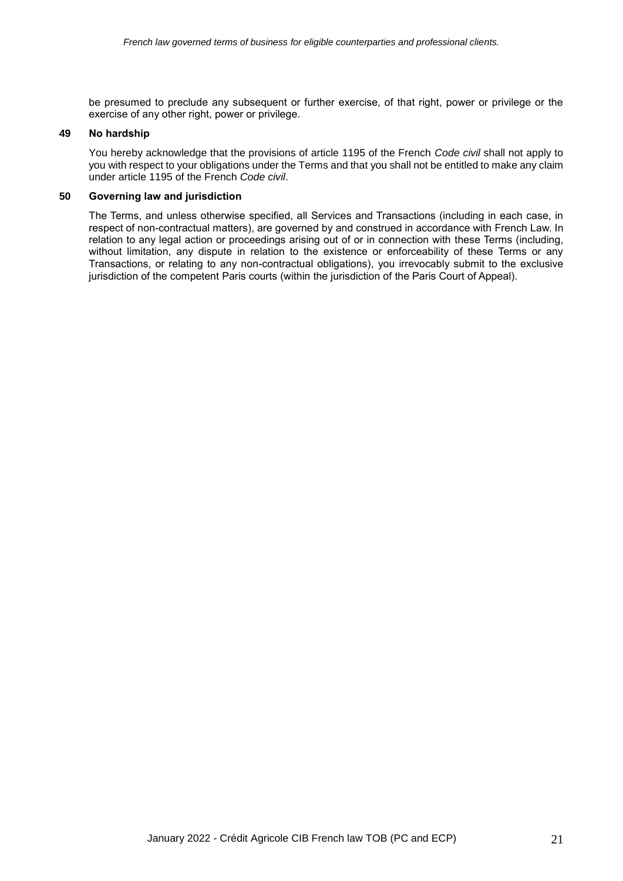be presumed to preclude any subsequent or further exercise, of that right, power or privilege or the exercise of any other right, power or privilege.

## **49 No hardship**

You hereby acknowledge that the provisions of article 1195 of the French *Code civil* shall not apply to you with respect to your obligations under the Terms and that you shall not be entitled to make any claim under article 1195 of the French *Code civil*.

#### **50 Governing law and jurisdiction**

The Terms, and unless otherwise specified, all Services and Transactions (including in each case, in respect of non-contractual matters), are governed by and construed in accordance with French Law. In relation to any legal action or proceedings arising out of or in connection with these Terms (including, without limitation, any dispute in relation to the existence or enforceability of these Terms or any Transactions, or relating to any non-contractual obligations), you irrevocably submit to the exclusive jurisdiction of the competent Paris courts (within the jurisdiction of the Paris Court of Appeal).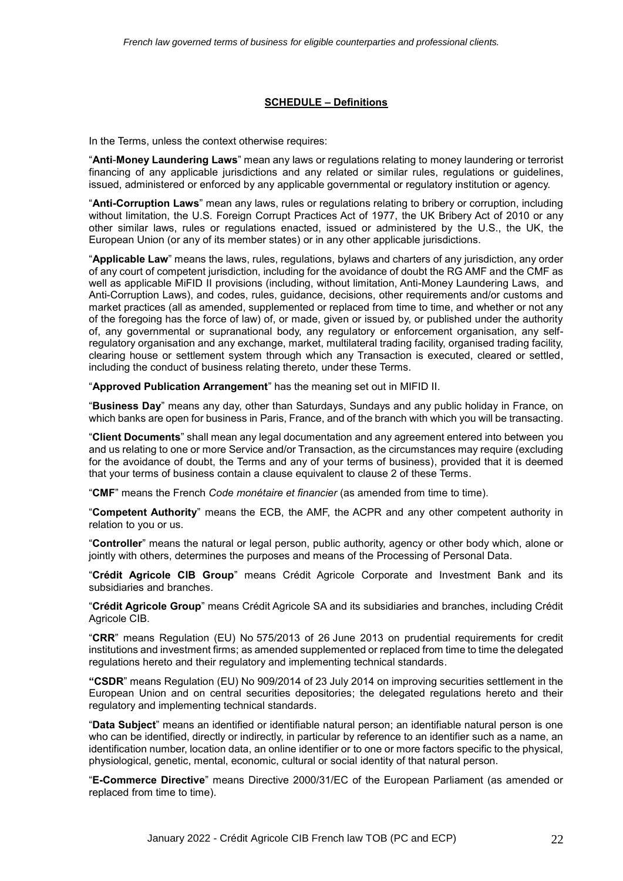### **SCHEDULE – Definitions**

In the Terms, unless the context otherwise requires:

"**Anti**-**Money Laundering Laws**" mean any laws or regulations relating to money laundering or terrorist financing of any applicable jurisdictions and any related or similar rules, regulations or guidelines, issued, administered or enforced by any applicable governmental or regulatory institution or agency.

"**Anti-Corruption Laws**" mean any laws, rules or regulations relating to bribery or corruption, including without limitation, the U.S. Foreign Corrupt Practices Act of 1977, the UK Bribery Act of 2010 or any other similar laws, rules or regulations enacted, issued or administered by the U.S., the UK, the European Union (or any of its member states) or in any other applicable jurisdictions.

"**Applicable Law**" means the laws, rules, regulations, bylaws and charters of any jurisdiction, any order of any court of competent jurisdiction, including for the avoidance of doubt the RG AMF and the CMF as well as applicable MiFID II provisions (including, without limitation, Anti-Money Laundering Laws, and Anti-Corruption Laws), and codes, rules, guidance, decisions, other requirements and/or customs and market practices (all as amended, supplemented or replaced from time to time, and whether or not any of the foregoing has the force of law) of, or made, given or issued by, or published under the authority of, any governmental or supranational body, any regulatory or enforcement organisation, any selfregulatory organisation and any exchange, market, multilateral trading facility, organised trading facility, clearing house or settlement system through which any Transaction is executed, cleared or settled, including the conduct of business relating thereto, under these Terms.

"**Approved Publication Arrangement**" has the meaning set out in MIFID II.

"**Business Day**" means any day, other than Saturdays, Sundays and any public holiday in France, on which banks are open for business in Paris, France, and of the branch with which you will be transacting.

"**Client Documents**" shall mean any legal documentation and any agreement entered into between you and us relating to one or more Service and/or Transaction, as the circumstances may require (excluding for the avoidance of doubt, the Terms and any of your terms of business), provided that it is deemed that your terms of business contain a clause equivalent to clause 2 of these Terms.

"**CMF**" means the French *Code monétaire et financier* (as amended from time to time).

"**Competent Authority**" means the ECB, the AMF, the ACPR and any other competent authority in relation to you or us.

"**Controller**" means the natural or legal person, public authority, agency or other body which, alone or jointly with others, determines the purposes and means of the Processing of Personal Data.

"**Crédit Agricole CIB Group**" means Crédit Agricole Corporate and Investment Bank and its subsidiaries and branches.

"**Crédit Agricole Group**" means Crédit Agricole SA and its subsidiaries and branches, including Crédit Agricole CIB.

"**CRR**" means Regulation (EU) No 575/2013 of 26 June 2013 on prudential requirements for credit institutions and investment firms; as amended supplemented or replaced from time to time the delegated regulations hereto and their regulatory and implementing technical standards.

**"CSDR**" means Regulation (EU) No 909/2014 of 23 July 2014 on improving securities settlement in the European Union and on central securities depositories; the delegated regulations hereto and their regulatory and implementing technical standards.

"**Data Subject**" means an identified or identifiable natural person; an identifiable natural person is one who can be identified, directly or indirectly, in particular by reference to an identifier such as a name, an identification number, location data, an online identifier or to one or more factors specific to the physical, physiological, genetic, mental, economic, cultural or social identity of that natural person.

"**E-Commerce Directive**" means Directive 2000/31/EC of the European Parliament (as amended or replaced from time to time).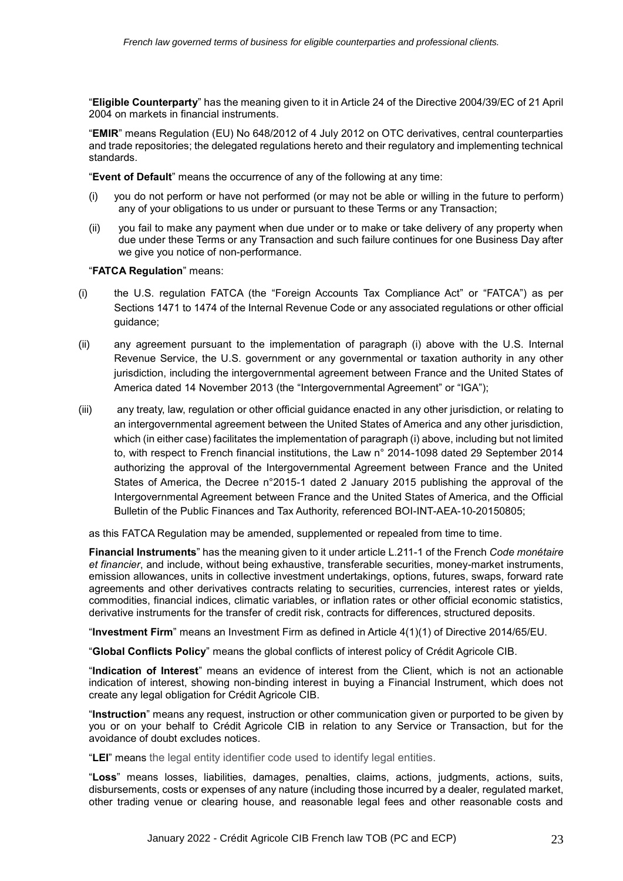"**Eligible Counterparty**" has the meaning given to it in Article 24 of the Directive 2004/39/EC of 21 April 2004 on markets in financial instruments.

"**EMIR**" means Regulation (EU) No 648/2012 of 4 July 2012 on OTC derivatives, central counterparties and trade repositories; the delegated regulations hereto and their regulatory and implementing technical standards.

"**Event of Default**" means the occurrence of any of the following at any time:

- (i) you do not perform or have not performed (or may not be able or willing in the future to perform) any of your obligations to us under or pursuant to these Terms or any Transaction;
- (ii) you fail to make any payment when due under or to make or take delivery of any property when due under these Terms or any Transaction and such failure continues for one Business Day after we give you notice of non-performance.

"**FATCA Regulation**" means:

- (i) the U.S. regulation FATCA (the "Foreign Accounts Tax Compliance Act" or "FATCA") as per Sections 1471 to 1474 of the Internal Revenue Code or any associated regulations or other official guidance;
- (ii) any agreement pursuant to the implementation of paragraph (i) above with the U.S. Internal Revenue Service, the U.S. government or any governmental or taxation authority in any other jurisdiction, including the intergovernmental agreement between France and the United States of America dated 14 November 2013 (the "Intergovernmental Agreement" or "IGA");
- (iii) any treaty, law, regulation or other official guidance enacted in any other jurisdiction, or relating to an intergovernmental agreement between the United States of America and any other jurisdiction, which (in either case) facilitates the implementation of paragraph (i) above, including but not limited to, with respect to French financial institutions, the Law n° 2014-1098 dated 29 September 2014 authorizing the approval of the Intergovernmental Agreement between France and the United States of America, the Decree n°2015-1 dated 2 January 2015 publishing the approval of the Intergovernmental Agreement between France and the United States of America, and the Official Bulletin of the Public Finances and Tax Authority, referenced BOI-INT-AEA-10-20150805;

as this FATCA Regulation may be amended, supplemented or repealed from time to time.

**Financial Instruments**" has the meaning given to it under article L.211-1 of the French *Code monétaire et financier*, and include, without being exhaustive, transferable securities, money-market instruments, emission allowances, units in collective investment undertakings, options, futures, swaps, forward rate agreements and other derivatives contracts relating to securities, currencies, interest rates or yields, commodities, financial indices, climatic variables, or inflation rates or other official economic statistics, derivative instruments for the transfer of credit risk, contracts for differences, structured deposits.

"**Investment Firm**" means an Investment Firm as defined in Article 4(1)(1) of Directive 2014/65/EU.

"**Global Conflicts Policy**" means the global conflicts of interest policy of Crédit Agricole CIB.

"**Indication of Interest**" means an evidence of interest from the Client, which is not an actionable indication of interest, showing non-binding interest in buying a Financial Instrument, which does not create any legal obligation for Crédit Agricole CIB.

"**Instruction**" means any request, instruction or other communication given or purported to be given by you or on your behalf to Crédit Agricole CIB in relation to any Service or Transaction, but for the avoidance of doubt excludes notices.

"**LEI**" means the legal entity identifier code used to identify legal entities.

"**Loss**" means losses, liabilities, damages, penalties, claims, actions, judgments, actions, suits, disbursements, costs or expenses of any nature (including those incurred by a dealer, regulated market, other trading venue or clearing house, and reasonable legal fees and other reasonable costs and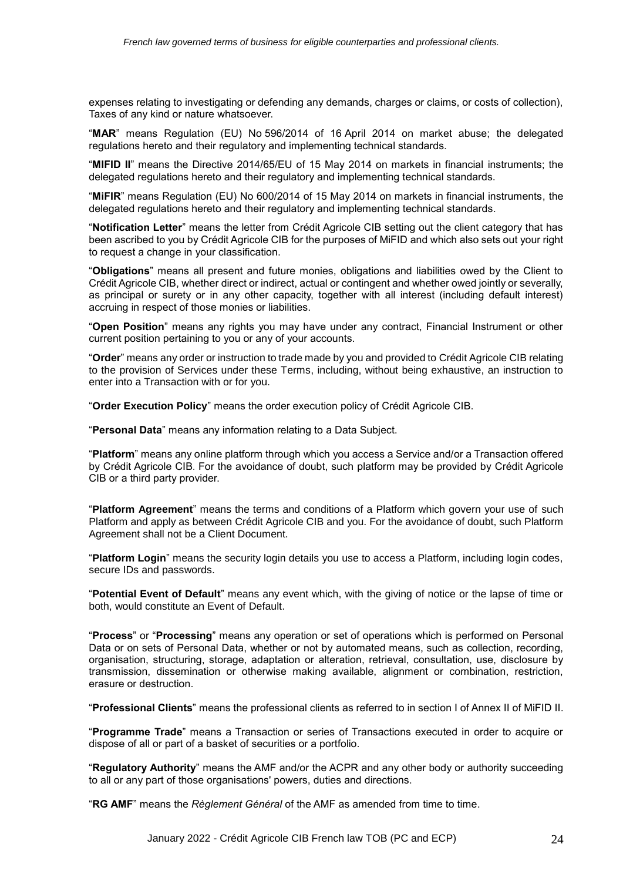expenses relating to investigating or defending any demands, charges or claims, or costs of collection), Taxes of any kind or nature whatsoever.

"**MAR**" means Regulation (EU) No 596/2014 of 16 April 2014 on market abuse; the delegated regulations hereto and their regulatory and implementing technical standards.

"**MIFID II**" means the Directive 2014/65/EU of 15 May 2014 on markets in financial instruments; the delegated regulations hereto and their regulatory and implementing technical standards.

"**MiFIR**" means Regulation (EU) No 600/2014 of 15 May 2014 on markets in financial instruments, the delegated regulations hereto and their regulatory and implementing technical standards.

"**Notification Letter**" means the letter from Crédit Agricole CIB setting out the client category that has been ascribed to you by Crédit Agricole CIB for the purposes of MiFID and which also sets out your right to request a change in your classification.

"**Obligations**" means all present and future monies, obligations and liabilities owed by the Client to Crédit Agricole CIB, whether direct or indirect, actual or contingent and whether owed jointly or severally, as principal or surety or in any other capacity, together with all interest (including default interest) accruing in respect of those monies or liabilities.

"**Open Position**" means any rights you may have under any contract, Financial Instrument or other current position pertaining to you or any of your accounts.

"**Order**" means any order or instruction to trade made by you and provided to Crédit Agricole CIB relating to the provision of Services under these Terms, including, without being exhaustive, an instruction to enter into a Transaction with or for you.

"**Order Execution Policy**" means the order execution policy of Crédit Agricole CIB.

"**Personal Data**" means any information relating to a Data Subject.

"**Platform**" means any online platform through which you access a Service and/or a Transaction offered by Crédit Agricole CIB. For the avoidance of doubt, such platform may be provided by Crédit Agricole CIB or a third party provider.

"**Platform Agreement**" means the terms and conditions of a Platform which govern your use of such Platform and apply as between Crédit Agricole CIB and you. For the avoidance of doubt, such Platform Agreement shall not be a Client Document.

"**Platform Login**" means the security login details you use to access a Platform, including login codes, secure IDs and passwords.

"**Potential Event of Default**" means any event which, with the giving of notice or the lapse of time or both, would constitute an Event of Default.

"**Process**" or "**Processing**" means any operation or set of operations which is performed on Personal Data or on sets of Personal Data, whether or not by automated means, such as collection, recording, organisation, structuring, storage, adaptation or alteration, retrieval, consultation, use, disclosure by transmission, dissemination or otherwise making available, alignment or combination, restriction, erasure or destruction.

"**Professional Clients**" means the professional clients as referred to in section I of Annex II of MiFID II.

"**Programme Trade**" means a Transaction or series of Transactions executed in order to acquire or dispose of all or part of a basket of securities or a portfolio.

"**Regulatory Authority**" means the AMF and/or the ACPR and any other body or authority succeeding to all or any part of those organisations' powers, duties and directions.

"**RG AMF**" means the *Règlement Général* of the AMF as amended from time to time.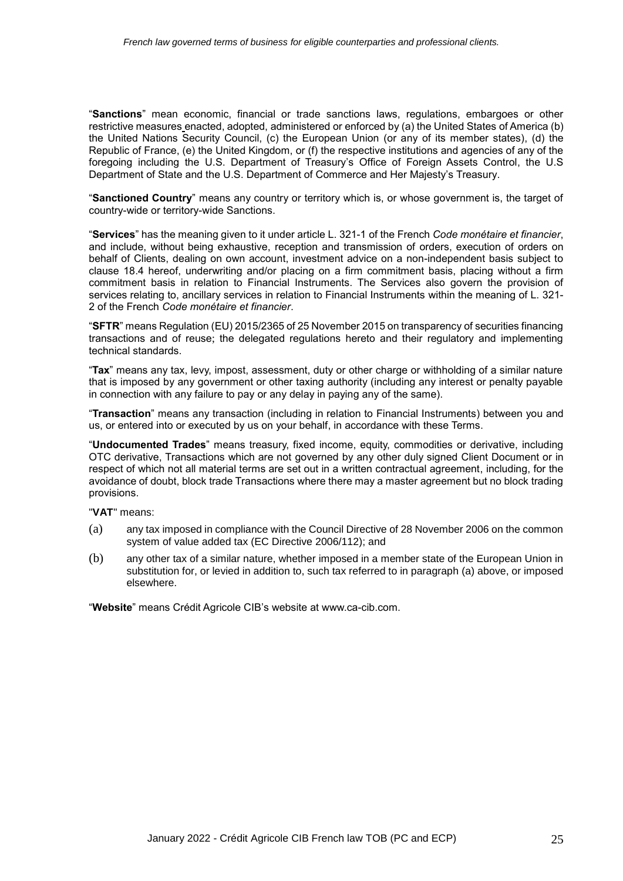"**Sanctions**" mean economic, financial or trade sanctions laws, regulations, embargoes or other restrictive measures enacted, adopted, administered or enforced by (a) the United States of America (b) the United Nations Security Council, (c) the European Union (or any of its member states), (d) the Republic of France, (e) the United Kingdom, or (f) the respective institutions and agencies of any of the foregoing including the U.S. Department of Treasury's Office of Foreign Assets Control, the U.S Department of State and the U.S. Department of Commerce and Her Majesty's Treasury.

"**Sanctioned Country**" means any country or territory which is, or whose government is, the target of country-wide or territory-wide Sanctions.

"**Services**" has the meaning given to it under article L. 321-1 of the French *Code monétaire et financier*, and include, without being exhaustive, reception and transmission of orders, execution of orders on behalf of Clients, dealing on own account, investment advice on a non-independent basis subject to clause 18.4 hereof, underwriting and/or placing on a firm commitment basis, placing without a firm commitment basis in relation to Financial Instruments. The Services also govern the provision of services relating to, ancillary services in relation to Financial Instruments within the meaning of L. 321- 2 of the French *Code monétaire et financier*.

"**SFTR**" means Regulation (EU) 2015/2365 of 25 November 2015 on transparency of securities financing transactions and of reuse; the delegated regulations hereto and their regulatory and implementing technical standards.

"**Tax**" means any tax, levy, impost, assessment, duty or other charge or withholding of a similar nature that is imposed by any government or other taxing authority (including any interest or penalty payable in connection with any failure to pay or any delay in paying any of the same).

"**Transaction**" means any transaction (including in relation to Financial Instruments) between you and us, or entered into or executed by us on your behalf, in accordance with these Terms.

"**Undocumented Trades**" means treasury, fixed income, equity, commodities or derivative, including OTC derivative, Transactions which are not governed by any other duly signed Client Document or in respect of which not all material terms are set out in a written contractual agreement, including, for the avoidance of doubt, block trade Transactions where there may a master agreement but no block trading provisions.

"**VAT**" means:

- <span id="page-24-0"></span>(a) any tax imposed in compliance with the Council Directive of 28 November 2006 on the common system of value added tax (EC Directive 2006/112); and
- (b) any other tax of a similar nature, whether imposed in a member state of the European Union in substitution for, or levied in addition to, such tax referred to in paragraph [\(a\)](#page-24-0) above, or imposed elsewhere.

"**Website**" means Crédit Agricole CIB's website at www.ca-cib.com.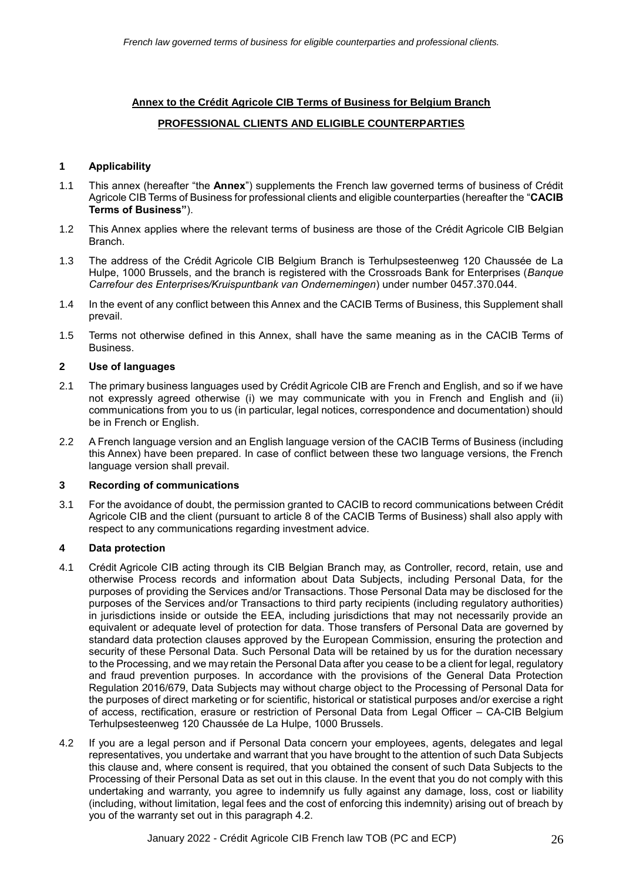## **Annex to the Crédit Agricole CIB Terms of Business for Belgium Branch**

## **PROFESSIONAL CLIENTS AND ELIGIBLE COUNTERPARTIES**

### **1 Applicability**

- 1.1 This annex (hereafter "the **Annex**") supplements the French law governed terms of business of Crédit Agricole CIB Terms of Business for professional clients and eligible counterparties (hereafter the "**CACIB Terms of Business"**).
- 1.2 This Annex applies where the relevant terms of business are those of the Crédit Agricole CIB Belgian Branch.
- 1.3 The address of the Crédit Agricole CIB Belgium Branch is Terhulpsesteenweg 120 Chaussée de La Hulpe, 1000 Brussels, and the branch is registered with the Crossroads Bank for Enterprises (*Banque Carrefour des Enterprises/Kruispuntbank van Ondernemingen*) under number 0457.370.044.
- 1.4 In the event of any conflict between this Annex and the CACIB Terms of Business, this Supplement shall prevail.
- 1.5 Terms not otherwise defined in this Annex, shall have the same meaning as in the CACIB Terms of Business.

#### **2 Use of languages**

- 2.1 The primary business languages used by Crédit Agricole CIB are French and English, and so if we have not expressly agreed otherwise (i) we may communicate with you in French and English and (ii) communications from you to us (in particular, legal notices, correspondence and documentation) should be in French or English.
- 2.2 A French language version and an English language version of the CACIB Terms of Business (including this Annex) have been prepared. In case of conflict between these two language versions, the French language version shall prevail.

#### **3 Recording of communications**

3.1 For the avoidance of doubt, the permission granted to CACIB to record communications between Crédit Agricole CIB and the client (pursuant to article 8 of the CACIB Terms of Business) shall also apply with respect to any communications regarding investment advice.

#### **4 Data protection**

- 4.1 Crédit Agricole CIB acting through its CIB Belgian Branch may, as Controller, record, retain, use and otherwise Process records and information about Data Subjects, including Personal Data, for the purposes of providing the Services and/or Transactions. Those Personal Data may be disclosed for the purposes of the Services and/or Transactions to third party recipients (including regulatory authorities) in jurisdictions inside or outside the EEA, including jurisdictions that may not necessarily provide an equivalent or adequate level of protection for data. Those transfers of Personal Data are governed by standard data protection clauses approved by the European Commission, ensuring the protection and security of these Personal Data. Such Personal Data will be retained by us for the duration necessary to the Processing, and we may retain the Personal Data after you cease to be a client for legal, regulatory and fraud prevention purposes. In accordance with the provisions of the General Data Protection Regulation 2016/679, Data Subjects may without charge object to the Processing of Personal Data for the purposes of direct marketing or for scientific, historical or statistical purposes and/or exercise a right of access, rectification, erasure or restriction of Personal Data from Legal Officer – CA-CIB Belgium Terhulpsesteenweg 120 Chaussée de La Hulpe, 1000 Brussels.
- 4.2 If you are a legal person and if Personal Data concern your employees, agents, delegates and legal representatives, you undertake and warrant that you have brought to the attention of such Data Subjects this clause and, where consent is required, that you obtained the consent of such Data Subjects to the Processing of their Personal Data as set out in this clause. In the event that you do not comply with this undertaking and warranty, you agree to indemnify us fully against any damage, loss, cost or liability (including, without limitation, legal fees and the cost of enforcing this indemnity) arising out of breach by you of the warranty set out in this paragraph 4.2.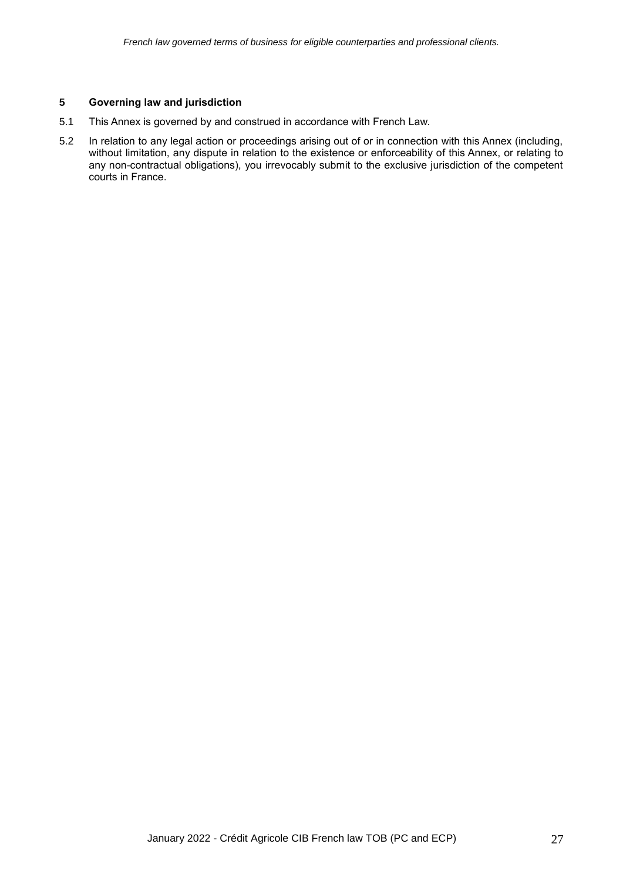## **5 Governing law and jurisdiction**

- 5.1 This Annex is governed by and construed in accordance with French Law.
- 5.2 In relation to any legal action or proceedings arising out of or in connection with this Annex (including, without limitation, any dispute in relation to the existence or enforceability of this Annex, or relating to any non-contractual obligations), you irrevocably submit to the exclusive jurisdiction of the competent courts in France.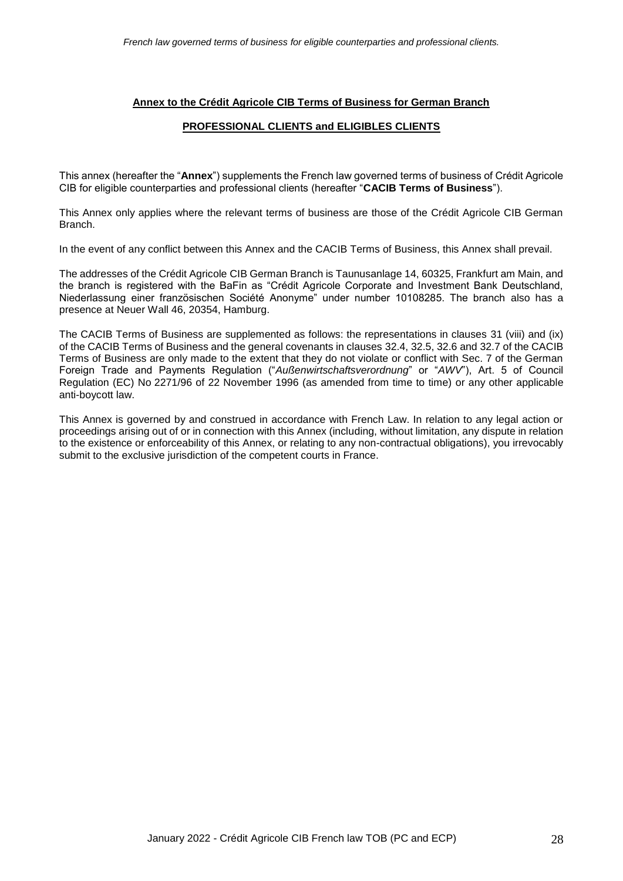### **Annex to the Crédit Agricole CIB Terms of Business for German Branch**

### **PROFESSIONAL CLIENTS and ELIGIBLES CLIENTS**

This annex (hereafter the "**Annex**") supplements the French law governed terms of business of Crédit Agricole CIB for eligible counterparties and professional clients (hereafter "**CACIB Terms of Business**").

This Annex only applies where the relevant terms of business are those of the Crédit Agricole CIB German Branch.

In the event of any conflict between this Annex and the CACIB Terms of Business, this Annex shall prevail.

The addresses of the Crédit Agricole CIB German Branch is Taunusanlage 14, 60325, Frankfurt am Main, and the branch is registered with the BaFin as "Crédit Agricole Corporate and Investment Bank Deutschland, Niederlassung einer französischen Société Anonyme" under number 10108285. The branch also has a presence at Neuer Wall 46, 20354, Hamburg.

The CACIB Terms of Business are supplemented as follows: the representations in clauses 31 (viii) and (ix) of the CACIB Terms of Business and the general covenants in clauses 32.4, 32.5, 32.6 and 32.7 of the CACIB Terms of Business are only made to the extent that they do not violate or conflict with Sec. 7 of the German Foreign Trade and Payments Regulation ("*Außenwirtschaftsverordnung*" or "*AWV*"), Art. 5 of Council Regulation (EC) No 2271/96 of 22 November 1996 (as amended from time to time) or any other applicable anti-boycott law.

This Annex is governed by and construed in accordance with French Law. In relation to any legal action or proceedings arising out of or in connection with this Annex (including, without limitation, any dispute in relation to the existence or enforceability of this Annex, or relating to any non-contractual obligations), you irrevocably submit to the exclusive jurisdiction of the competent courts in France.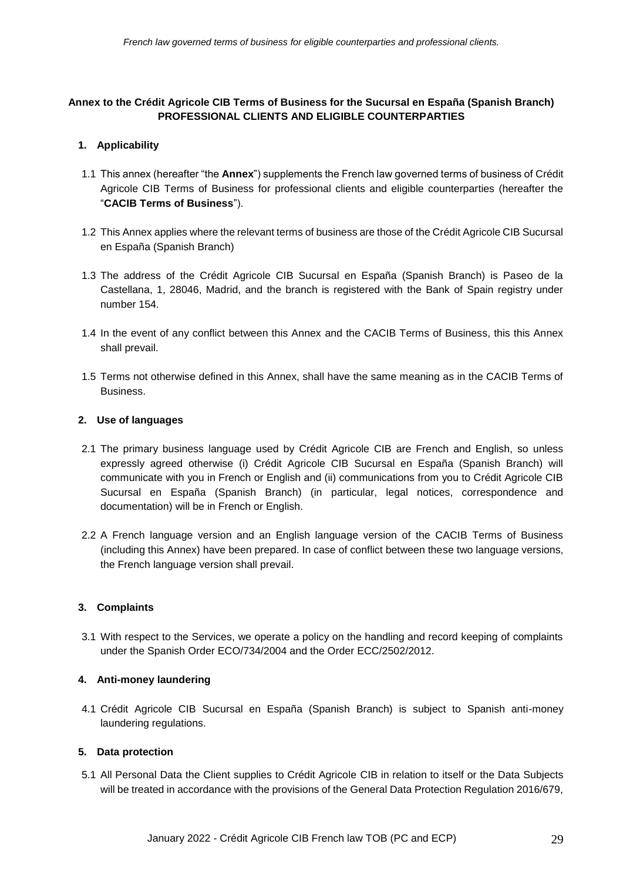# **Annex to the Crédit Agricole CIB Terms of Business for the Sucursal en España (Spanish Branch) PROFESSIONAL CLIENTS AND ELIGIBLE COUNTERPARTIES**

# **1. Applicability**

- 1.1 This annex (hereafter "the **Annex**") supplements the French law governed terms of business of Crédit Agricole CIB Terms of Business for professional clients and eligible counterparties (hereafter the "**CACIB Terms of Business**").
- 1.2 This Annex applies where the relevant terms of business are those of the Crédit Agricole CIB Sucursal en España (Spanish Branch)
- 1.3 The address of the Crédit Agricole CIB Sucursal en España (Spanish Branch) is Paseo de la Castellana, 1, 28046, Madrid, and the branch is registered with the Bank of Spain registry under number 154.
- 1.4 In the event of any conflict between this Annex and the CACIB Terms of Business, this this Annex shall prevail.
- 1.5 Terms not otherwise defined in this Annex, shall have the same meaning as in the CACIB Terms of Business.

## **2. Use of languages**

- 2.1 The primary business language used by Crédit Agricole CIB are French and English, so unless expressly agreed otherwise (i) Crédit Agricole CIB Sucursal en España (Spanish Branch) will communicate with you in French or English and (ii) communications from you to Crédit Agricole CIB Sucursal en España (Spanish Branch) (in particular, legal notices, correspondence and documentation) will be in French or English.
- 2.2 A French language version and an English language version of the CACIB Terms of Business (including this Annex) have been prepared. In case of conflict between these two language versions, the French language version shall prevail.

## **3. Complaints**

3.1 With respect to the Services, we operate a policy on the handling and record keeping of complaints under the Spanish Order ECO/734/2004 and the Order ECC/2502/2012.

## **4. Anti-money laundering**

4.1 Crédit Agricole CIB Sucursal en España (Spanish Branch) is subject to Spanish anti-money laundering regulations.

## **5. Data protection**

5.1 All Personal Data the Client supplies to Crédit Agricole CIB in relation to itself or the Data Subjects will be treated in accordance with the provisions of the General Data Protection Regulation 2016/679,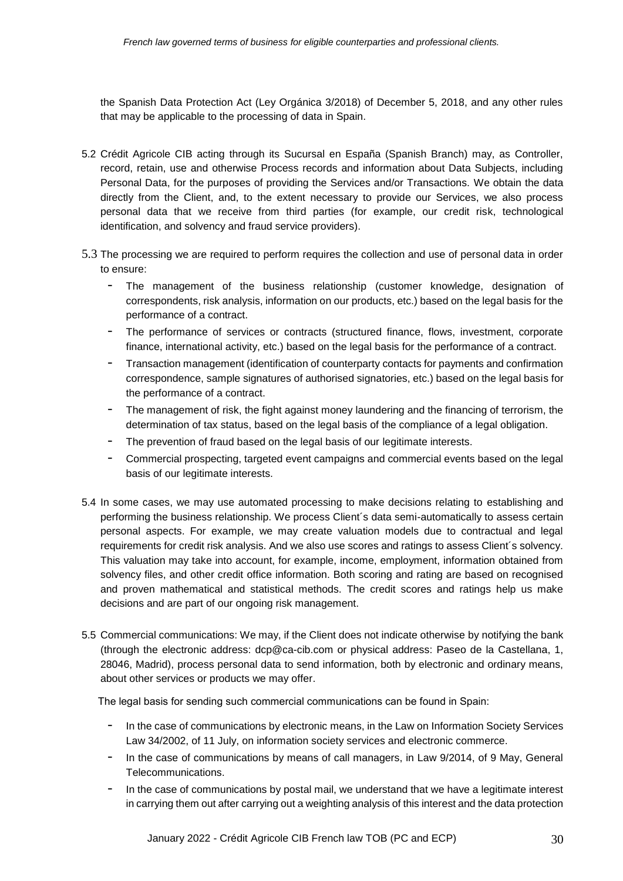the Spanish Data Protection Act (Ley Orgánica 3/2018) of December 5, 2018, and any other rules that may be applicable to the processing of data in Spain.

- 5.2 Crédit Agricole CIB acting through its Sucursal en España (Spanish Branch) may, as Controller, record, retain, use and otherwise Process records and information about Data Subjects, including Personal Data, for the purposes of providing the Services and/or Transactions. We obtain the data directly from the Client, and, to the extent necessary to provide our Services, we also process personal data that we receive from third parties (for example, our credit risk, technological identification, and solvency and fraud service providers).
- 5.3 The processing we are required to perform requires the collection and use of personal data in order to ensure:
	- The management of the business relationship (customer knowledge, designation of correspondents, risk analysis, information on our products, etc.) based on the legal basis for the performance of a contract.
	- The performance of services or contracts (structured finance, flows, investment, corporate finance, international activity, etc.) based on the legal basis for the performance of a contract.
	- Transaction management (identification of counterparty contacts for payments and confirmation correspondence, sample signatures of authorised signatories, etc.) based on the legal basis for the performance of a contract.
	- The management of risk, the fight against money laundering and the financing of terrorism, the determination of tax status, based on the legal basis of the compliance of a legal obligation.
	- The prevention of fraud based on the legal basis of our legitimate interests.
	- Commercial prospecting, targeted event campaigns and commercial events based on the legal basis of our legitimate interests.
- 5.4 In some cases, we may use automated processing to make decisions relating to establishing and performing the business relationship. We process Client´s data semi-automatically to assess certain personal aspects. For example, we may create valuation models due to contractual and legal requirements for credit risk analysis. And we also use scores and ratings to assess Client´s solvency. This valuation may take into account, for example, income, employment, information obtained from solvency files, and other credit office information. Both scoring and rating are based on recognised and proven mathematical and statistical methods. The credit scores and ratings help us make decisions and are part of our ongoing risk management.
- 5.5 Commercial communications: We may, if the Client does not indicate otherwise by notifying the bank (through the electronic address: [dcp@ca-cib.com](mailto:dcp@ca-cib.com) or physical address: Paseo de la Castellana, 1, 28046, Madrid), process personal data to send information, both by electronic and ordinary means, about other services or products we may offer.

The legal basis for sending such commercial communications can be found in Spain:

- In the case of communications by electronic means, in the Law on Information Society Services Law 34/2002, of 11 July, on information society services and electronic commerce.
- In the case of communications by means of call managers, in Law 9/2014, of 9 May, General Telecommunications.
- In the case of communications by postal mail, we understand that we have a legitimate interest in carrying them out after carrying out a weighting analysis of this interest and the data protection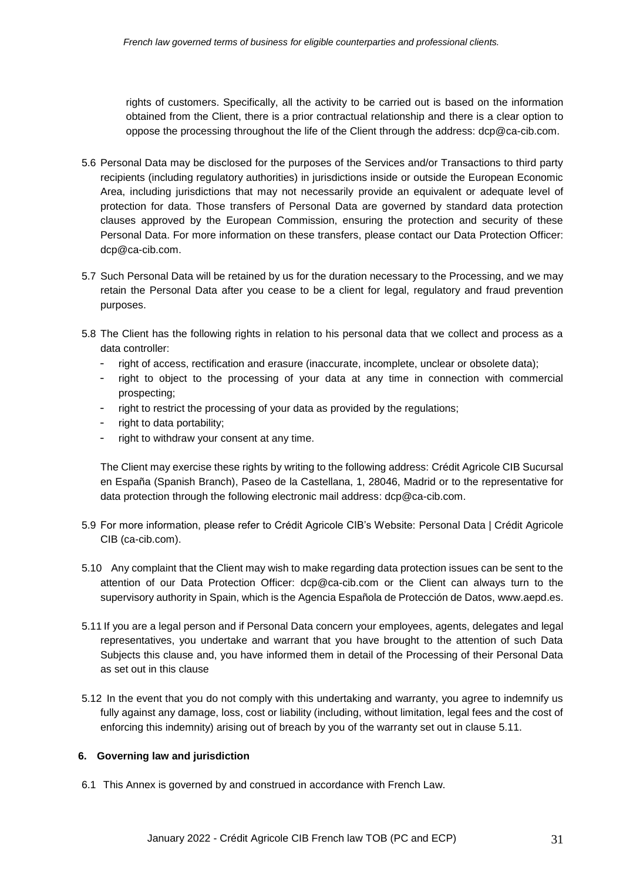rights of customers. Specifically, all the activity to be carried out is based on the information obtained from the Client, there is a prior contractual relationship and there is a clear option to oppose the processing throughout the life of the Client through the address: [dcp@ca-cib.com.](mailto:dcp@ca-cib.com)

- 5.6 Personal Data may be disclosed for the purposes of the Services and/or Transactions to third party recipients (including regulatory authorities) in jurisdictions inside or outside the European Economic Area, including jurisdictions that may not necessarily provide an equivalent or adequate level of protection for data. Those transfers of Personal Data are governed by standard data protection clauses approved by the European Commission, ensuring the protection and security of these Personal Data. For more information on these transfers, please contact our Data Protection Officer: [dcp@ca-cib.com.](mailto:dcp@ca-cib.com)
- 5.7 Such Personal Data will be retained by us for the duration necessary to the Processing, and we may retain the Personal Data after you cease to be a client for legal, regulatory and fraud prevention purposes.
- 5.8 The Client has the following rights in relation to his personal data that we collect and process as a data controller:
	- right of access, rectification and erasure (inaccurate, incomplete, unclear or obsolete data);
	- right to object to the processing of your data at any time in connection with commercial prospecting;
	- right to restrict the processing of your data as provided by the regulations;
	- right to data portability;
	- right to withdraw your consent at any time.

The Client may exercise these rights by writing to the following address: Crédit Agricole CIB Sucursal en España (Spanish Branch), Paseo de la Castellana, 1, 28046, Madrid or to the representative for data protection through the following electronic mail address: [dcp@ca-cib.com.](mailto:dcp@ca-cib.com)

- 5.9 For more information, please refer to Crédit Agricole CIB's Website: [Personal Data | Crédit Agricole](https://www.ca-cib.com/personal-data)  [CIB \(ca-cib.com\).](https://www.ca-cib.com/personal-data)
- 5.10 Any complaint that the Client may wish to make regarding data protection issues can be sent to the attention of our Data Protection Officer: [dcp@ca-cib.com](mailto:dcp@ca-cib.com) or the Client can always turn to the supervisory authority in Spain, which is the Agencia Española de Protección de Datos, [www.aepd.es.](http://www.aepd.es/)
- 5.11 If you are a legal person and if Personal Data concern your employees, agents, delegates and legal representatives, you undertake and warrant that you have brought to the attention of such Data Subjects this clause and, you have informed them in detail of the Processing of their Personal Data as set out in this clause
- 5.12 In the event that you do not comply with this undertaking and warranty, you agree to indemnify us fully against any damage, loss, cost or liability (including, without limitation, legal fees and the cost of enforcing this indemnity) arising out of breach by you of the warranty set out in clause 5.11.

## **6. Governing law and jurisdiction**

6.1 This Annex is governed by and construed in accordance with French Law.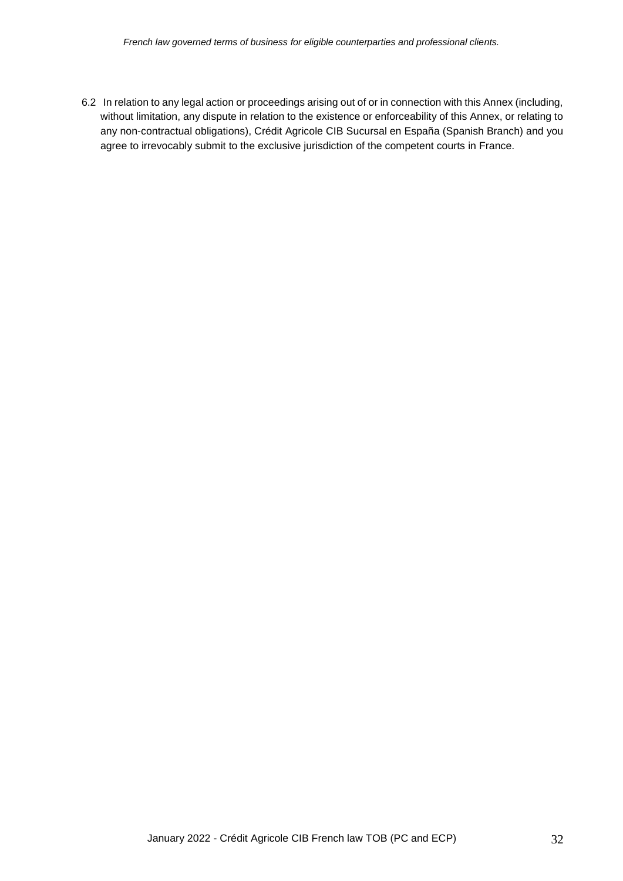6.2 In relation to any legal action or proceedings arising out of or in connection with this Annex (including, without limitation, any dispute in relation to the existence or enforceability of this Annex, or relating to any non-contractual obligations), Crédit Agricole CIB Sucursal en España (Spanish Branch) and you agree to irrevocably submit to the exclusive jurisdiction of the competent courts in France.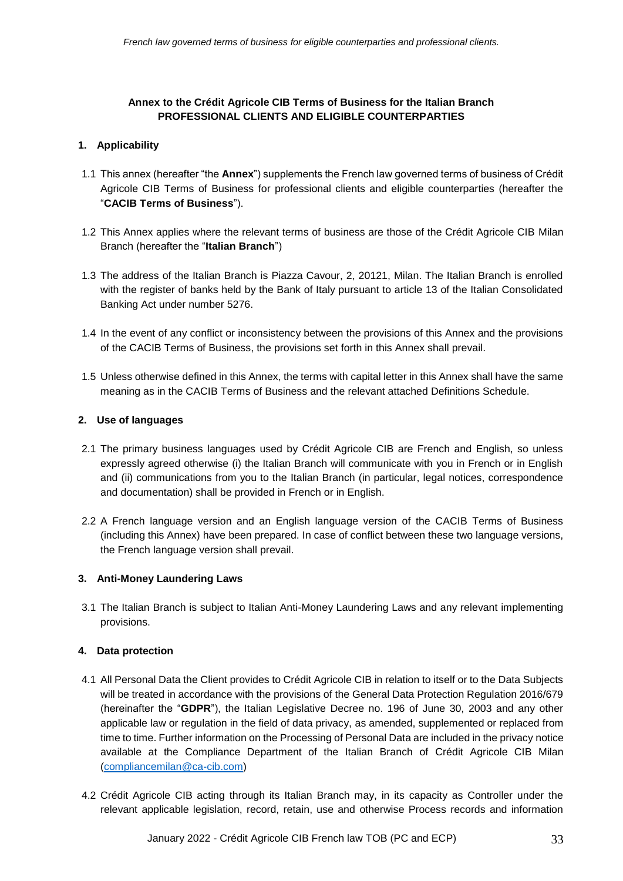# **Annex to the Crédit Agricole CIB Terms of Business for the Italian Branch PROFESSIONAL CLIENTS AND ELIGIBLE COUNTERPARTIES**

# **1. Applicability**

- 1.1 This annex (hereafter "the **Annex**") supplements the French law governed terms of business of Crédit Agricole CIB Terms of Business for professional clients and eligible counterparties (hereafter the "**CACIB Terms of Business**").
- 1.2 This Annex applies where the relevant terms of business are those of the Crédit Agricole CIB Milan Branch (hereafter the "**Italian Branch**")
- 1.3 The address of the Italian Branch is Piazza Cavour, 2, 20121, Milan. The Italian Branch is enrolled with the register of banks held by the Bank of Italy pursuant to article 13 of the Italian Consolidated Banking Act under number 5276.
- 1.4 In the event of any conflict or inconsistency between the provisions of this Annex and the provisions of the CACIB Terms of Business, the provisions set forth in this Annex shall prevail.
- 1.5 Unless otherwise defined in this Annex, the terms with capital letter in this Annex shall have the same meaning as in the CACIB Terms of Business and the relevant attached Definitions Schedule.

## **2. Use of languages**

- 2.1 The primary business languages used by Crédit Agricole CIB are French and English, so unless expressly agreed otherwise (i) the Italian Branch will communicate with you in French or in English and (ii) communications from you to the Italian Branch (in particular, legal notices, correspondence and documentation) shall be provided in French or in English.
- 2.2 A French language version and an English language version of the CACIB Terms of Business (including this Annex) have been prepared. In case of conflict between these two language versions, the French language version shall prevail.

## **3. Anti-Money Laundering Laws**

3.1 The Italian Branch is subject to Italian Anti-Money Laundering Laws and any relevant implementing provisions.

# **4. Data protection**

- 4.1 All Personal Data the Client provides to Crédit Agricole CIB in relation to itself or to the Data Subjects will be treated in accordance with the provisions of the General Data Protection Regulation 2016/679 (hereinafter the "**GDPR**"), the Italian Legislative Decree no. 196 of June 30, 2003 and any other applicable law or regulation in the field of data privacy, as amended, supplemented or replaced from time to time. Further information on the Processing of Personal Data are included in the privacy notice available at the Compliance Department of the Italian Branch of Crédit Agricole CIB Milan [\(compliancemilan@ca-cib.com\)](mailto:compliancemilan@ca-cib.com)
- 4.2 Crédit Agricole CIB acting through its Italian Branch may, in its capacity as Controller under the relevant applicable legislation, record, retain, use and otherwise Process records and information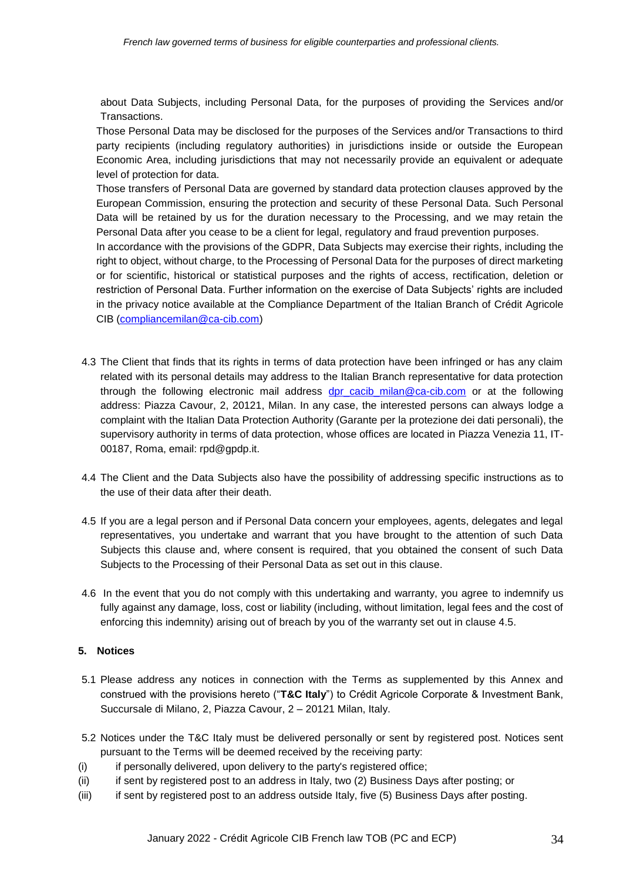about Data Subjects, including Personal Data, for the purposes of providing the Services and/or Transactions.

Those Personal Data may be disclosed for the purposes of the Services and/or Transactions to third party recipients (including regulatory authorities) in jurisdictions inside or outside the European Economic Area, including jurisdictions that may not necessarily provide an equivalent or adequate level of protection for data.

Those transfers of Personal Data are governed by standard data protection clauses approved by the European Commission, ensuring the protection and security of these Personal Data. Such Personal Data will be retained by us for the duration necessary to the Processing, and we may retain the Personal Data after you cease to be a client for legal, regulatory and fraud prevention purposes.

In accordance with the provisions of the GDPR, Data Subjects may exercise their rights, including the right to object, without charge, to the Processing of Personal Data for the purposes of direct marketing or for scientific, historical or statistical purposes and the rights of access, rectification, deletion or restriction of Personal Data. Further information on the exercise of Data Subjects' rights are included in the privacy notice available at the Compliance Department of the Italian Branch of Crédit Agricole CIB [\(compliancemilan@ca-cib.com\)](mailto:compliancemilan@ca-cib.com)

- 4.3 The Client that finds that its rights in terms of data protection have been infringed or has any claim related with its personal details may address to the Italian Branch representative for data protection through the following electronic mail address [dpr\\_cacib\\_milan@ca-cib.com](mailto:dpr_cacib_milan@ca-cib.com) or at the following address: Piazza Cavour, 2, 20121, Milan. In any case, the interested persons can always lodge a complaint with the Italian Data Protection Authority (Garante per la protezione dei dati personali), the supervisory authority in terms of data protection, whose offices are located in Piazza Venezia 11, IT-00187, Roma, email: rpd@gpdp.it.
- 4.4 The Client and the Data Subjects also have the possibility of addressing specific instructions as to the use of their data after their death.
- 4.5 If you are a legal person and if Personal Data concern your employees, agents, delegates and legal representatives, you undertake and warrant that you have brought to the attention of such Data Subjects this clause and, where consent is required, that you obtained the consent of such Data Subjects to the Processing of their Personal Data as set out in this clause.
- 4.6 In the event that you do not comply with this undertaking and warranty, you agree to indemnify us fully against any damage, loss, cost or liability (including, without limitation, legal fees and the cost of enforcing this indemnity) arising out of breach by you of the warranty set out in clause 4.5.

## **5. Notices**

- 5.1 Please address any notices in connection with the Terms as supplemented by this Annex and construed with the provisions hereto ("**T&C Italy**") to Crédit Agricole Corporate & Investment Bank, Succursale di Milano, 2, Piazza Cavour, 2 – 20121 Milan, Italy.
- 5.2 Notices under the T&C Italy must be delivered personally or sent by registered post. Notices sent pursuant to the Terms will be deemed received by the receiving party:
- (i) if personally delivered, upon delivery to the party's registered office;
- (ii) if sent by registered post to an address in Italy, two (2) Business Days after posting; or
- (iii) if sent by registered post to an address outside Italy, five (5) Business Days after posting.